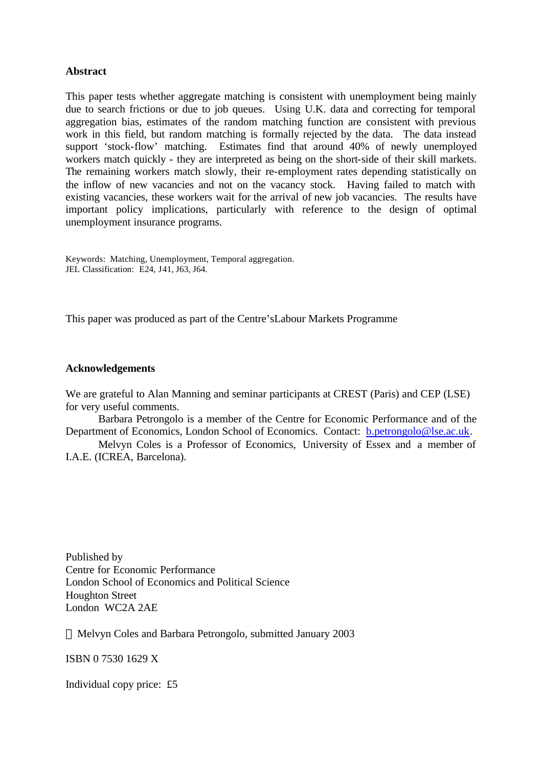#### **Abstract**

This paper tests whether aggregate matching is consistent with unemployment being mainly due to search frictions or due to job queues. Using U.K. data and correcting for temporal aggregation bias, estimates of the random matching function are consistent with previous work in this field, but random matching is formally rejected by the data. The data instead support 'stock-flow' matching. Estimates find that around 40% of newly unemployed workers match quickly - they are interpreted as being on the short-side of their skill markets. The remaining workers match slowly, their re-employment rates depending statistically on the inflow of new vacancies and not on the vacancy stock. Having failed to match with existing vacancies, these workers wait for the arrival of new job vacancies. The results have important policy implications, particularly with reference to the design of optimal unemployment insurance programs.

Keywords: Matching, Unemployment, Temporal aggregation. JEL Classification: E24, J41, J63, J64.

This paper was produced as part of the Centre'sLabour Markets Programme

#### **Acknowledgements**

We are grateful to Alan Manning and seminar participants at CREST (Paris) and CEP (LSE) for very useful comments.

Barbara Petrongolo is a member of the Centre for Economic Performance and of the Department of Economics, London School of Economics. Contact: b.petrongolo@lse.ac.uk.

Melvyn Coles is a Professor of Economics, University of Essex and a member of I.A.E. (ICREA, Barcelona).

Published by Centre for Economic Performance London School of Economics and Political Science Houghton Street London WC2A 2AE

Melvyn Coles and Barbara Petrongolo, submitted January 2003

ISBN 0 7530 1629 X

Individual copy price: £5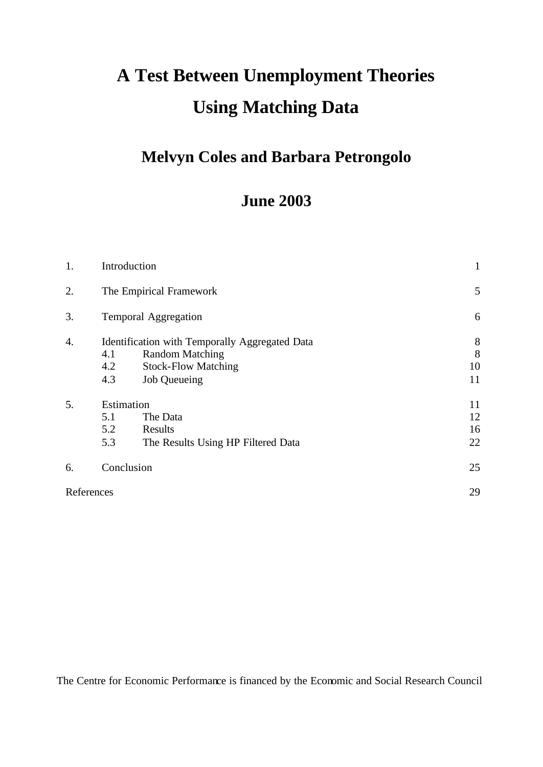# **A Test Between Unemployment Theories Using Matching Data**

## **Melvyn Coles and Barbara Petrongolo**

## **June 2003**

| 1. |                                 | Introduction                                                                                                           |                      |  |
|----|---------------------------------|------------------------------------------------------------------------------------------------------------------------|----------------------|--|
| 2. |                                 | The Empirical Framework                                                                                                | 5                    |  |
| 3. | <b>Temporal Aggregation</b>     |                                                                                                                        |                      |  |
| 4. | 4.1<br>4.2<br>4.3               | Identification with Temporally Aggregated Data<br><b>Random Matching</b><br><b>Stock-Flow Matching</b><br>Job Queueing | 8<br>8<br>10<br>11   |  |
| 5. | Estimation<br>5.1<br>5.2<br>5.3 | The Data<br>Results<br>The Results Using HP Filtered Data                                                              | 11<br>12<br>16<br>22 |  |
| 6. |                                 | Conclusion                                                                                                             | 25                   |  |
|    | References                      |                                                                                                                        | 29                   |  |

The Centre for Economic Performance is financed by the Economic and Social Research Council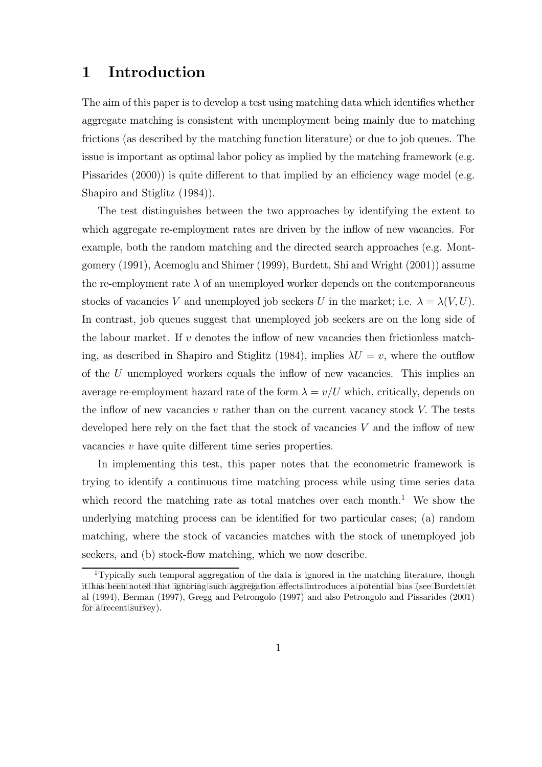## 1 Introduction

The aim of this paper is to develop a test using matching data which identifies whether aggregate matching is consistent with unemployment being mainly due to matching frictions (as described by the matching function literature) or due to job queues. The issue is important as optimal labor policy as implied by the matching framework (e.g. Pissarides (2000)) is quite different to that implied by an efficiency wage model (e.g. Shapiro and Stiglitz (1984)).

The test distinguishes between the two approaches by identifying the extent to which aggregate re-employment rates are driven by the inflow of new vacancies. For example, both the random matching and the directed search approaches (e.g. Montgomery (1991), Acemoglu and Shimer (1999), Burdett, Shi and Wright (2001)) assume the re-employment rate  $\lambda$  of an unemployed worker depends on the contemporaneous stocks of vacancies V and unemployed job seekers U in the market; i.e.  $\lambda = \lambda(V, U)$ . In contrast, job queues suggest that unemployed job seekers are on the long side of the labour market. If  $v$  denotes the inflow of new vacancies then frictionless matching, as described in Shapiro and Stiglitz (1984), implies  $\lambda U = v$ , where the outflow of the U unemployed workers equals the inflow of new vacancies. This implies an average re-employment hazard rate of the form  $\lambda = v/U$  which, critically, depends on the inflow of new vacancies  $v$  rather than on the current vacancy stock  $V$ . The tests developed here rely on the fact that the stock of vacancies  $V$  and the inflow of new vacancies v have quite different time series properties.

In implementing this test, this paper notes that the econometric framework is trying to identify a continuous time matching process while using time series data which record the matching rate as total matches over each month.<sup>1</sup> We show the underlying matching process can be identified for two particular cases; (a) random matching, where the stock of vacancies matches with the stock of unemployed job seekers, and (b) stock-flow matching, which we now describe.

<sup>1</sup>Typically such temporal aggregation of the data is ignored in the matching literature, though it has been noted that ignoring such aggregation effects introduces a potential bias (see Burdett et al (1994), Berman (1997), Gregg and Petrongolo (1997) and also Petrongolo and Pissarides (2001) for a recent survey).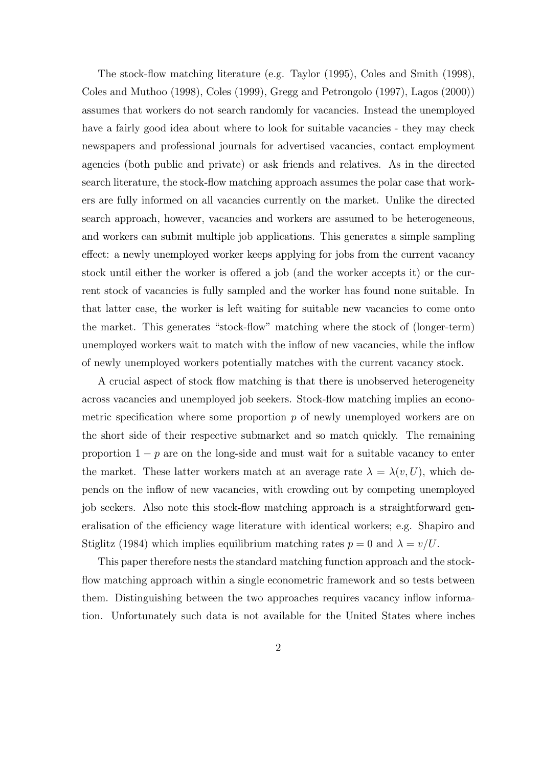The stock-flow matching literature (e.g. Taylor (1995), Coles and Smith (1998), Coles and Muthoo (1998), Coles (1999), Gregg and Petrongolo (1997), Lagos (2000)) assumes that workers do not search randomly for vacancies. Instead the unemployed have a fairly good idea about where to look for suitable vacancies - they may check newspapers and professional journals for advertised vacancies, contact employment agencies (both public and private) or ask friends and relatives. As in the directed search literature, the stock-flow matching approach assumes the polar case that workers are fully informed on all vacancies currently on the market. Unlike the directed search approach, however, vacancies and workers are assumed to be heterogeneous, and workers can submit multiple job applications. This generates a simple sampling effect: a newly unemployed worker keeps applying for jobs from the current vacancy stock until either the worker is offered a job (and the worker accepts it) or the current stock of vacancies is fully sampled and the worker has found none suitable. In that latter case, the worker is left waiting for suitable new vacancies to come onto the market. This generates "stock-flow" matching where the stock of (longer-term) unemployed workers wait to match with the inflow of new vacancies, while the inflow of newly unemployed workers potentially matches with the current vacancy stock.

A crucial aspect of stock flow matching is that there is unobserved heterogeneity across vacancies and unemployed job seekers. Stock-flow matching implies an econometric specification where some proportion  $p$  of newly unemployed workers are on the short side of their respective submarket and so match quickly. The remaining proportion  $1 - p$  are on the long-side and must wait for a suitable vacancy to enter the market. These latter workers match at an average rate  $\lambda = \lambda(v, U)$ , which depends on the inflow of new vacancies, with crowding out by competing unemployed job seekers. Also note this stock-flow matching approach is a straightforward generalisation of the efficiency wage literature with identical workers; e.g. Shapiro and Stiglitz (1984) which implies equilibrium matching rates  $p = 0$  and  $\lambda = v/U$ .

This paper therefore nests the standard matching function approach and the stockflow matching approach within a single econometric framework and so tests between them. Distinguishing between the two approaches requires vacancy inflow information. Unfortunately such data is not available for the United States where inches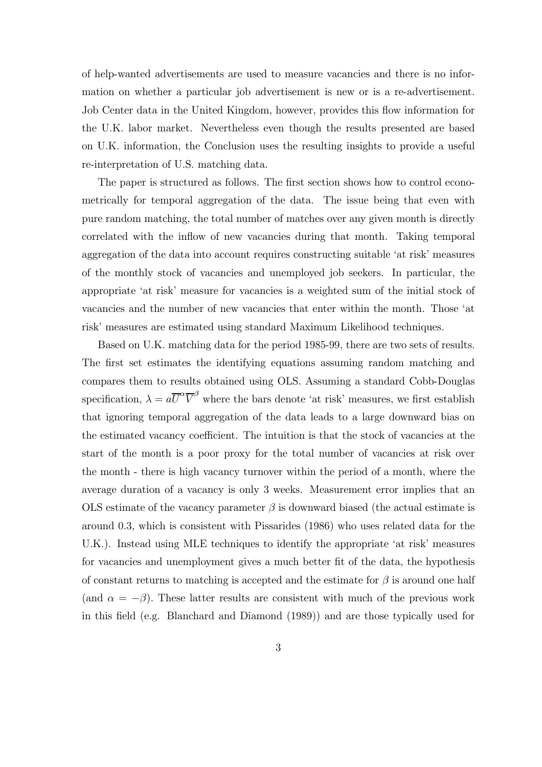of help-wanted advertisements are used to measure vacancies and there is no information on whether a particular job advertisement is new or is a re-advertisement. Job Center data in the United Kingdom, however, provides this flow information for the U.K. labor market. Nevertheless even though the results presented are based on U.K. information, the Conclusion uses the resulting insights to provide a useful re-interpretation of U.S. matching data.

The paper is structured as follows. The first section shows how to control econometrically for temporal aggregation of the data. The issue being that even with pure random matching, the total number of matches over any given month is directly correlated with the inflow of new vacancies during that month. Taking temporal aggregation of the data into account requires constructing suitable 'at risk' measures of the monthly stock of vacancies and unemployed job seekers. In particular, the appropriate 'at risk' measure for vacancies is a weighted sum of the initial stock of vacancies and the number of new vacancies that enter within the month. Those 'at risk' measures are estimated using standard Maximum Likelihood techniques.

Based on U.K. matching data for the period 1985-99, there are two sets of results. The first set estimates the identifying equations assuming random matching and compares them to results obtained using OLS. Assuming a standard Cobb-Douglas specification,  $\lambda = a\overline{U}^{\alpha}\overline{V}^{\beta}$  where the bars denote 'at risk' measures, we first establish that ignoring temporal aggregation of the data leads to a large downward bias on the estimated vacancy coefficient. The intuition is that the stock of vacancies at the start of the month is a poor proxy for the total number of vacancies at risk over the month - there is high vacancy turnover within the period of a month, where the average duration of a vacancy is only 3 weeks. Measurement error implies that an OLS estimate of the vacancy parameter  $\beta$  is downward biased (the actual estimate is around 0.3, which is consistent with Pissarides (1986) who uses related data for the U.K.). Instead using MLE techniques to identify the appropriate 'at risk' measures for vacancies and unemployment gives a much better fit of the data, the hypothesis of constant returns to matching is accepted and the estimate for  $\beta$  is around one half (and  $\alpha = -\beta$ ). These latter results are consistent with much of the previous work in this field (e.g. Blanchard and Diamond (1989)) and are those typically used for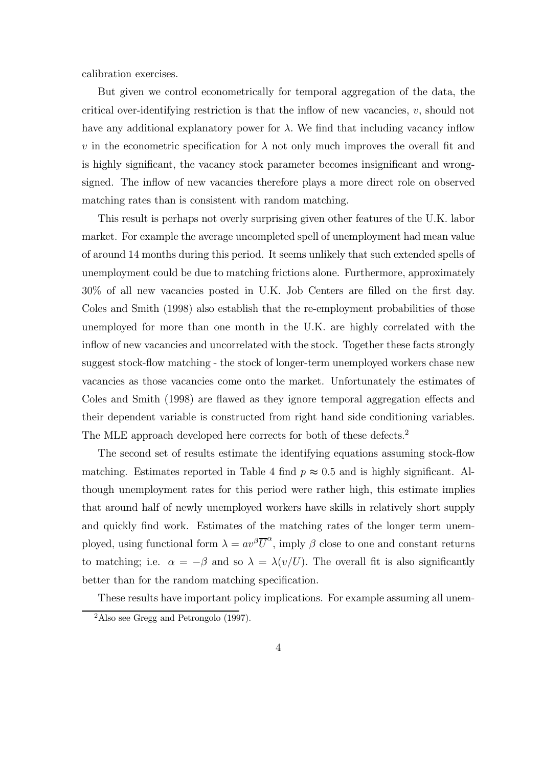calibration exercises.

But given we control econometrically for temporal aggregation of the data, the critical over-identifying restriction is that the inflow of new vacancies, v, should not have any additional explanatory power for  $\lambda$ . We find that including vacancy inflow v in the econometric specification for  $\lambda$  not only much improves the overall fit and is highly significant, the vacancy stock parameter becomes insignificant and wrongsigned. The inflow of new vacancies therefore plays a more direct role on observed matching rates than is consistent with random matching.

This result is perhaps not overly surprising given other features of the U.K. labor market. For example the average uncompleted spell of unemployment had mean value of around 14 months during this period. It seems unlikely that such extended spells of unemployment could be due to matching frictions alone. Furthermore, approximately 30% of all new vacancies posted in U.K. Job Centers are filled on the first day. Coles and Smith (1998) also establish that the re-employment probabilities of those unemployed for more than one month in the U.K. are highly correlated with the inflow of new vacancies and uncorrelated with the stock. Together these facts strongly suggest stock-flow matching - the stock of longer-term unemployed workers chase new vacancies as those vacancies come onto the market. Unfortunately the estimates of Coles and Smith (1998) are flawed as they ignore temporal aggregation effects and their dependent variable is constructed from right hand side conditioning variables. The MLE approach developed here corrects for both of these defects.<sup>2</sup>

The second set of results estimate the identifying equations assuming stock-flow matching. Estimates reported in Table 4 find  $p \approx 0.5$  and is highly significant. Although unemployment rates for this period were rather high, this estimate implies that around half of newly unemployed workers have skills in relatively short supply and quickly find work. Estimates of the matching rates of the longer term unemployed, using functional form  $\lambda = av^{\beta} \overline{U}^{\alpha}$ , imply  $\beta$  close to one and constant returns to matching; i.e.  $\alpha = -\beta$  and so  $\lambda = \lambda(v/U)$ . The overall fit is also significantly better than for the random matching specification.

These results have important policy implications. For example assuming all unem-

<sup>&</sup>lt;sup>2</sup>Also see Gregg and Petrongolo  $(1997)$ .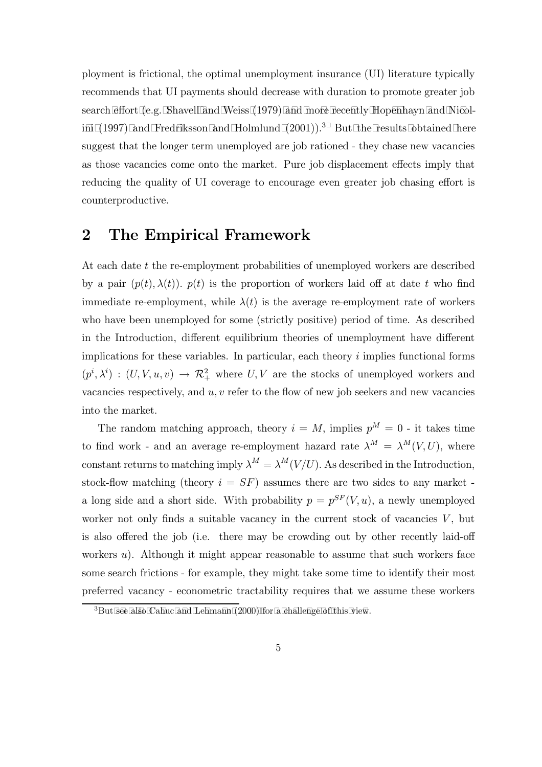ployment is frictional, the optimal unemployment insurance (UI) literature typically recommends that UI payments should decrease with duration to promote greater job search effort (e.g. Shavell and Weiss (1979) and more recently Hopenhayn and Nicolini (1997) and Fredriksson and Holmlund  $(2001)$ ).<sup>3</sup> But the results obtained here suggest that the longer term unemployed are job rationed - they chase new vacancies as those vacancies come onto the market. Pure job displacement effects imply that reducing the quality of UI coverage to encourage even greater job chasing effort is counterproductive.

## 2 The Empirical Framework

At each date t the re-employment probabilities of unemployed workers are described by a pair  $(p(t), \lambda(t))$ .  $p(t)$  is the proportion of workers laid off at date t who find immediate re-employment, while  $\lambda(t)$  is the average re-employment rate of workers who have been unemployed for some (strictly positive) period of time. As described in the Introduction, different equilibrium theories of unemployment have different implications for these variables. In particular, each theory  $i$  implies functional forms  $(p^i, \lambda^i) : (U, V, u, v) \to \mathcal{R}_+^2$  where  $U, V$  are the stocks of unemployed workers and vacancies respectively, and  $u, v$  refer to the flow of new job seekers and new vacancies into the market.

The random matching approach, theory  $i = M$ , implies  $p^M = 0$  - it takes time to find work - and an average re-employment hazard rate  $\lambda^M = \lambda^M(V, U)$ , where constant returns to matching imply  $\lambda^M = \lambda^M(V/U)$ . As described in the Introduction, stock-flow matching (theory  $i = SF$ ) assumes there are two sides to any market a long side and a short side. With probability  $p = p^{SF}(V, u)$ , a newly unemployed worker not only finds a suitable vacancy in the current stock of vacancies  $V$ , but is also offered the job (i.e. there may be crowding out by other recently laid-off workers  $u$ ). Although it might appear reasonable to assume that such workers face some search frictions - for example, they might take some time to identify their most preferred vacancy - econometric tractability requires that we assume these workers

 ${}^{3}$ But see also Cahuc and Lehmann (2000) for a challenge of this view.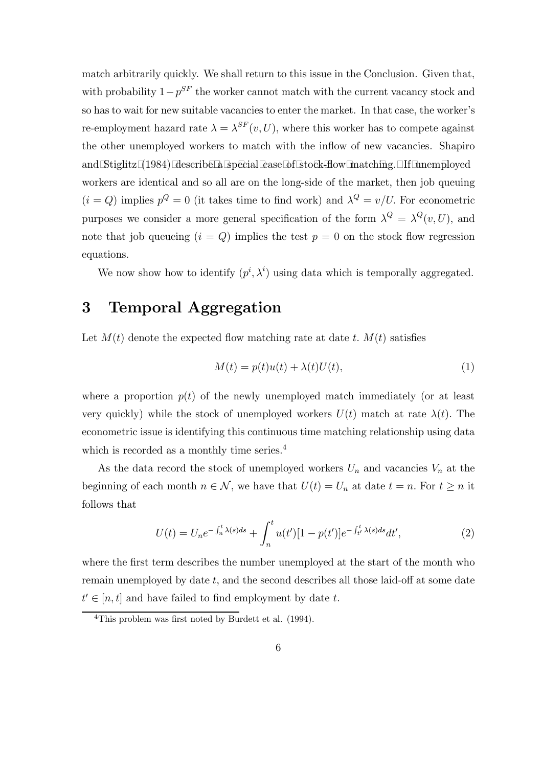match arbitrarily quickly. We shall return to this issue in the Conclusion. Given that, with probability  $1-p^{SF}$  the worker cannot match with the current vacancy stock and so has to wait for new suitable vacancies to enter the market. In that case, the worker's re-employment hazard rate  $\lambda = \lambda^{SF}(v, U)$ , where this worker has to compete against the other unemployed workers to match with the inflow of new vacancies. Shapiro and Stiglitz (1984) describe a special case of stock-flow matching. If unemployed workers are identical and so all are on the long-side of the market, then job queuing  $(i = Q)$  implies  $p^{Q} = 0$  (it takes time to find work) and  $\lambda^{Q} = v/U$ . For econometric purposes we consider a more general specification of the form  $\lambda^Q = \lambda^Q(v, U)$ , and note that job queueing  $(i = Q)$  implies the test  $p = 0$  on the stock flow regression equations.

We now show how to identify  $(p^i, \lambda^i)$  using data which is temporally aggregated.

## 3 Temporal Aggregation

Let  $M(t)$  denote the expected flow matching rate at date t.  $M(t)$  satisfies

$$
M(t) = p(t)u(t) + \lambda(t)U(t),
$$
\n(1)

where a proportion  $p(t)$  of the newly unemployed match immediately (or at least very quickly) while the stock of unemployed workers  $U(t)$  match at rate  $\lambda(t)$ . The econometric issue is identifying this continuous time matching relationship using data which is recorded as a monthly time series.<sup>4</sup>

As the data record the stock of unemployed workers  $U_n$  and vacancies  $V_n$  at the beginning of each month  $n \in \mathcal{N}$ , we have that  $U(t) = U_n$  at date  $t = n$ . For  $t \geq n$  it follows that

$$
U(t) = U_n e^{-\int_n^t \lambda(s)ds} + \int_n^t u(t')[1 - p(t')] e^{-\int_{t'}^t \lambda(s)ds} dt', \tag{2}
$$

where the first term describes the number unemployed at the start of the month who remain unemployed by date  $t$ , and the second describes all those laid-off at some date  $t' \in [n, t]$  and have failed to find employment by date t.

<sup>4</sup>This problem was first noted by Burdett et al. (1994).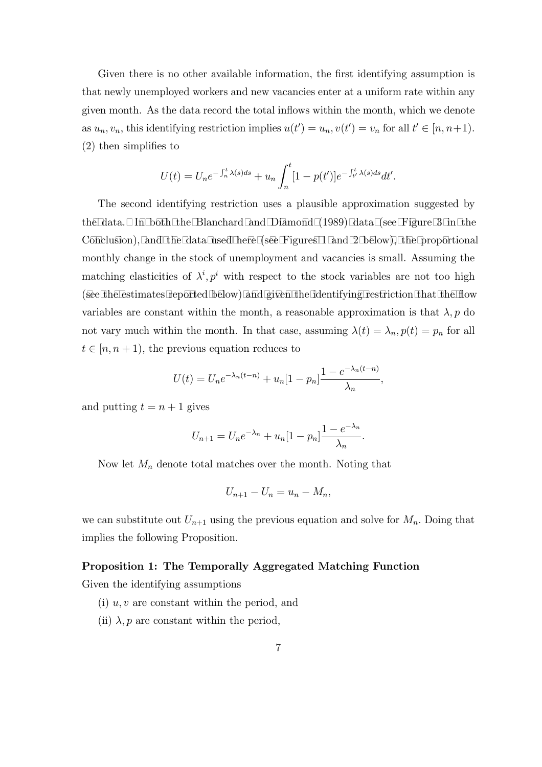Given there is no other available information, the first identifying assumption is that newly unemployed workers and new vacancies enter at a uniform rate within any given month. As the data record the total inflows within the month, which we denote as  $u_n, v_n$ , this identifying restriction implies  $u(t') = u_n, v(t') = v_n$  for all  $t' \in [n, n+1)$ . (2) then simplifies to

$$
U(t) = U_n e^{-\int_n^t \lambda(s)ds} + u_n \int_n^t [1 - p(t')] e^{-\int_{t'}^t \lambda(s)ds} dt'.
$$

The second identifying restriction uses a plausible approximation suggested by the data. In both the Blanchard and Diamond  $(1989)$  data (see Figure 3 in the Conclusion), and the data used here (see Figures 1 and 2 below), the proportional monthly change in the stock of unemployment and vacancies is small. Assuming the matching elasticities of  $\lambda^i, p^i$  with respect to the stock variables are not too high (see the estimates reported below) and given the identifying restriction that the flow variables are constant within the month, a reasonable approximation is that  $\lambda$ , p do not vary much within the month. In that case, assuming  $\lambda(t) = \lambda_n$ ,  $p(t) = p_n$  for all  $t \in [n, n + 1)$ , the previous equation reduces to

$$
U(t) = U_n e^{-\lambda_n (t-n)} + u_n [1 - p_n] \frac{1 - e^{-\lambda_n (t-n)}}{\lambda_n},
$$

and putting  $t = n + 1$  gives

$$
U_{n+1} = U_n e^{-\lambda_n} + u_n [1 - p_n] \frac{1 - e^{-\lambda_n}}{\lambda_n}.
$$

Now let  $M_n$  denote total matches over the month. Noting that

$$
U_{n+1}-U_n=u_n-M_n,
$$

we can substitute out  $U_{n+1}$  using the previous equation and solve for  $M_n$ . Doing that implies the following Proposition.

#### Proposition 1: The Temporally Aggregated Matching Function

Given the identifying assumptions

- (i)  $u, v$  are constant within the period, and
- (ii)  $\lambda$ , p are constant within the period,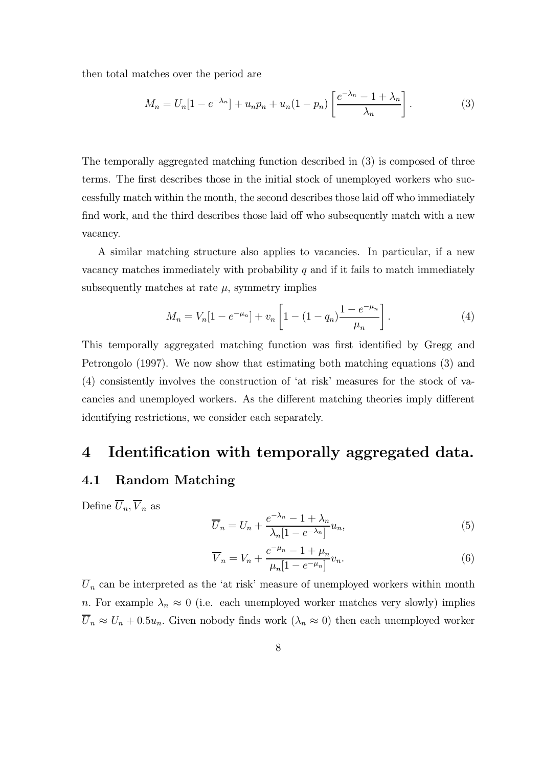then total matches over the period are

$$
M_n = U_n[1 - e^{-\lambda_n}] + u_n p_n + u_n (1 - p_n) \left[ \frac{e^{-\lambda_n} - 1 + \lambda_n}{\lambda_n} \right]. \tag{3}
$$

The temporally aggregated matching function described in (3) is composed of three terms. The first describes those in the initial stock of unemployed workers who successfully match within the month, the second describes those laid off who immediately find work, and the third describes those laid off who subsequently match with a new vacancy.

A similar matching structure also applies to vacancies. In particular, if a new vacancy matches immediately with probability  $q$  and if it fails to match immediately subsequently matches at rate  $\mu$ , symmetry implies

$$
M_n = V_n[1 - e^{-\mu_n}] + v_n \left[1 - (1 - q_n) \frac{1 - e^{-\mu_n}}{\mu_n}\right].
$$
 (4)

This temporally aggregated matching function was first identified by Gregg and Petrongolo (1997). We now show that estimating both matching equations (3) and (4) consistently involves the construction of 'at risk' measures for the stock of vacancies and unemployed workers. As the different matching theories imply different identifying restrictions, we consider each separately.

### 4 Identification with temporally aggregated data.

#### 4.1 Random Matching

Define  $\overline{U}_n, \overline{V}_n$  as

$$
\overline{U}_n = U_n + \frac{e^{-\lambda_n} - 1 + \lambda_n}{\lambda_n [1 - e^{-\lambda_n}]} u_n,\tag{5}
$$

$$
\overline{V}_n = V_n + \frac{e^{-\mu_n} - 1 + \mu_n}{\mu_n [1 - e^{-\mu_n}]} v_n.
$$
\n(6)

 $\overline{U}_n$  can be interpreted as the 'at risk' measure of unemployed workers within month n. For example  $\lambda_n \approx 0$  (i.e. each unemployed worker matches very slowly) implies  $\overline{U}_n \approx U_n + 0.5u_n$ . Given nobody finds work  $(\lambda_n \approx 0)$  then each unemployed worker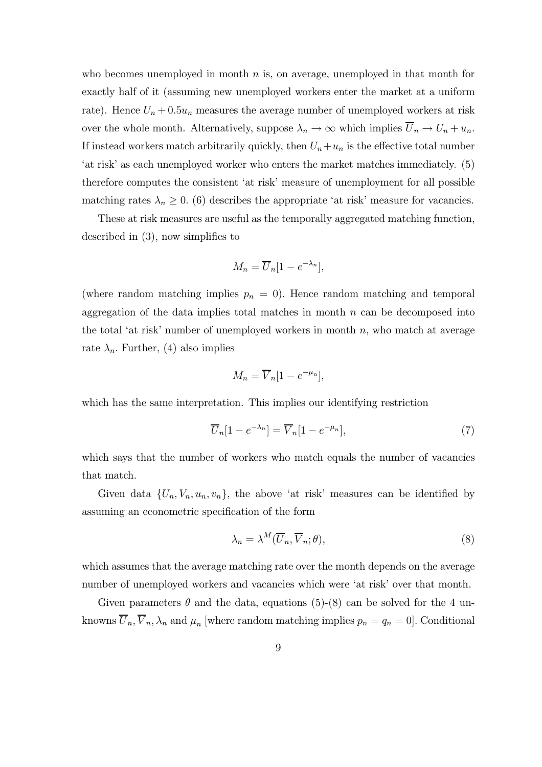who becomes unemployed in month  $n$  is, on average, unemployed in that month for exactly half of it (assuming new unemployed workers enter the market at a uniform rate). Hence  $U_n + 0.5u_n$  measures the average number of unemployed workers at risk over the whole month. Alternatively, suppose  $\lambda_n \to \infty$  which implies  $\overline{U}_n \to U_n + u_n$ . If instead workers match arbitrarily quickly, then  $U_n+u_n$  is the effective total number 'at risk' as each unemployed worker who enters the market matches immediately. (5) therefore computes the consistent 'at risk' measure of unemployment for all possible matching rates  $\lambda_n \geq 0$ . (6) describes the appropriate 'at risk' measure for vacancies.

These at risk measures are useful as the temporally aggregated matching function, described in (3), now simplifies to

$$
M_n = \overline{U}_n[1 - e^{-\lambda_n}],
$$

(where random matching implies  $p_n = 0$ ). Hence random matching and temporal aggregation of the data implies total matches in month  $n$  can be decomposed into the total 'at risk' number of unemployed workers in month  $n$ , who match at average rate  $\lambda_n$ . Further, (4) also implies

$$
M_n = \overline{V}_n [1 - e^{-\mu_n}],
$$

which has the same interpretation. This implies our identifying restriction

$$
\overline{U}_n[1 - e^{-\lambda_n}] = \overline{V}_n[1 - e^{-\mu_n}],\tag{7}
$$

which says that the number of workers who match equals the number of vacancies that match.

Given data  $\{U_n, V_n, u_n, v_n\}$ , the above 'at risk' measures can be identified by assuming an econometric specification of the form

$$
\lambda_n = \lambda^M(\overline{U}_n, \overline{V}_n; \theta),\tag{8}
$$

which assumes that the average matching rate over the month depends on the average number of unemployed workers and vacancies which were 'at risk' over that month.

Given parameters  $\theta$  and the data, equations (5)-(8) can be solved for the 4 unknowns  $\overline{U}_n, \overline{V}_n, \lambda_n$  and  $\mu_n$  [where random matching implies  $p_n = q_n = 0$ ]. Conditional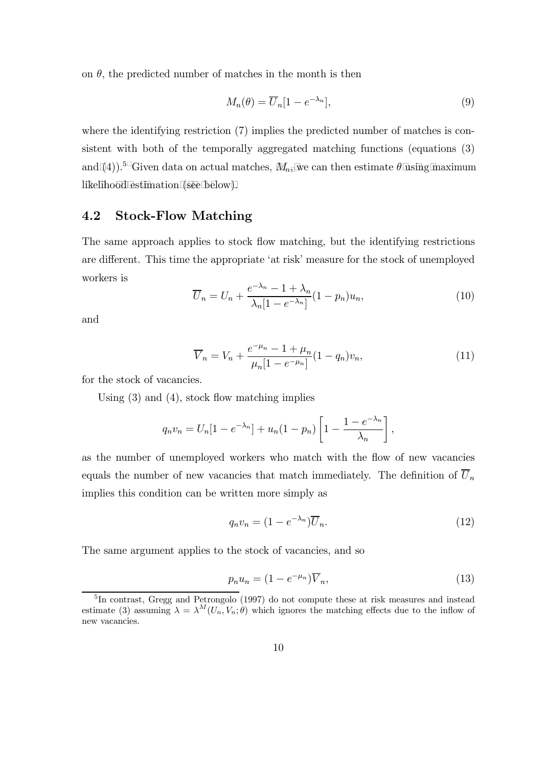on  $\theta$ , the predicted number of matches in the month is then

$$
M_n(\theta) = \overline{U}_n[1 - e^{-\lambda_n}],\tag{9}
$$

where the identifying restriction (7) implies the predicted number of matches is consistent with both of the temporally aggregated matching functions (equations (3) and (4)).<sup>5</sup> Given data on actual matches,  $M_n$ , we can then estimate  $\theta$  using maximum like lihood estimation (see below).

#### 4.2 Stock-Flow Matching

The same approach applies to stock flow matching, but the identifying restrictions are different. This time the appropriate 'at risk' measure for the stock of unemployed workers is

$$
\overline{U}_n = U_n + \frac{e^{-\lambda_n} - 1 + \lambda_n}{\lambda_n [1 - e^{-\lambda_n}]} (1 - p_n) u_n,
$$
\n(10)

and

$$
\overline{V}_n = V_n + \frac{e^{-\mu_n} - 1 + \mu_n}{\mu_n [1 - e^{-\mu_n}]} (1 - q_n) v_n,
$$
\n(11)

for the stock of vacancies.

Using (3) and (4), stock flow matching implies

$$
q_n v_n = U_n[1 - e^{-\lambda_n}] + u_n(1 - p_n) \left[1 - \frac{1 - e^{-\lambda_n}}{\lambda_n}\right],
$$

as the number of unemployed workers who match with the flow of new vacancies equals the number of new vacancies that match immediately. The definition of  $\overline{U}_n$ implies this condition can be written more simply as

$$
q_n v_n = (1 - e^{-\lambda_n}) \overline{U}_n.
$$
\n(12)

The same argument applies to the stock of vacancies, and so

$$
p_n u_n = (1 - e^{-\mu_n}) \overline{V}_n,\tag{13}
$$

<sup>&</sup>lt;sup>5</sup>In contrast, Gregg and Petrongolo (1997) do not compute these at risk measures and instead estimate (3) assuming  $\lambda = \lambda^M(U_n, V_n; \theta)$  which ignores the matching effects due to the inflow of new vacancies.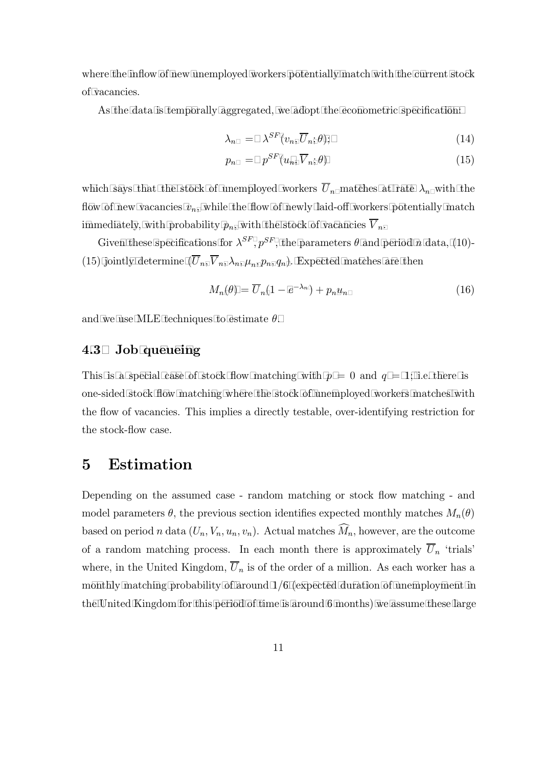where the inflow of new unemployed workers potentially match with the current stock of vacancies.

As the data is temporally aggregated, we adopt the econometric specification:

$$
\lambda_n = \lambda^{SF}(v_n, \overline{U}_n; \theta); \tag{14}
$$

$$
p_n = p^{SF}(u_n, \overline{V}_n; \theta) \tag{15}
$$

which says that the stock of unemployed workers  $\overline{U}_n$  matches at rate  $\lambda_n$  with the flow of new vacancies  $v_n$ , while the flow of newly laid-off workers potentially match immediately, with probability  $p_n$ , with the stock of vacancies  $\overline{V}_n$ .

Given these specifications for  $\lambda^{SF}$ ,  $p^{SF}$ , the parameters  $\theta$  and period n data, (10)-(15) jointly determine  $(U_n, V_n, \lambda_n, \mu_n, p_n, q_n)$ . Expected matches are then

$$
M_n(\theta) = \overline{U}_n(1 - e^{-\lambda_n}) + p_n u_n \tag{16}
$$

and we use MLE techniques to estimate  $\theta$ .

#### 4.3 Job queueing

This is a special case of stock flow matching with  $p = 0$  and  $q = 1$ ; i.e. there is one-sided stock flow matching where the stock of unemployed workers matches with the flow of vacancies. This implies a directly testable, over-identifying restriction for the stock-flow case.

## 5 Estimation

Depending on the assumed case - random matching or stock flow matching - and model parameters  $\theta$ , the previous section identifies expected monthly matches  $M_n(\theta)$ based on period n data  $(U_n, V_n, u_n, v_n)$ . Actual matches  $M_n$ , however, are the outcome of a random matching process. In each month there is approximately  $\overline{U}_n$  'trials' where, in the United Kingdom,  $\overline{U}_n$  is of the order of a million. As each worker has a monthly matching probability of around  $1/6$  (expected duration of unemployment in the United Kingdom for this period of time is around 6 months) we assume these large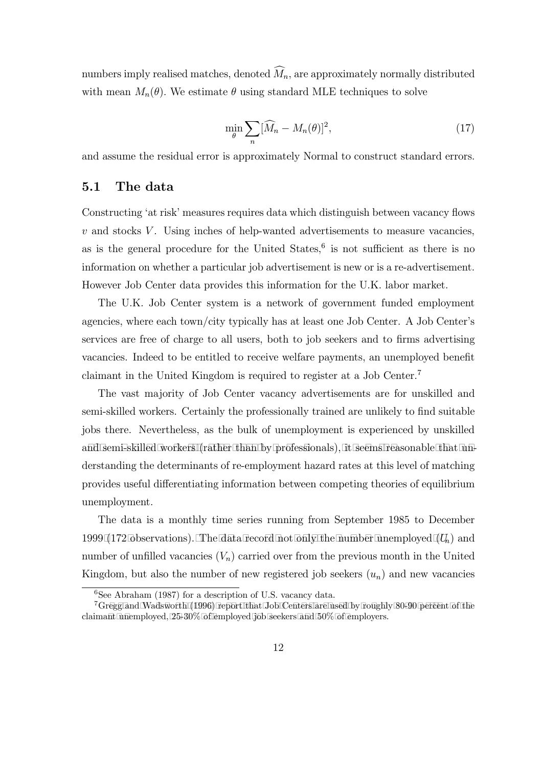numbers imply realised matches, denoted  $M_n$ , are approximately normally distributed with mean  $M_n(\theta)$ . We estimate  $\theta$  using standard MLE techniques to solve

$$
\min_{\theta} \sum_{n} [\widehat{M}_n - M_n(\theta)]^2,\tag{17}
$$

and assume the residual error is approximately Normal to construct standard errors.

#### 5.1 The data

Constructing 'at risk' measures requires data which distinguish between vacancy flows  $v$  and stocks  $V$ . Using inches of help-wanted advertisements to measure vacancies, as is the general procedure for the United States, $6$  is not sufficient as there is no information on whether a particular job advertisement is new or is a re-advertisement. However Job Center data provides this information for the U.K. labor market.

The U.K. Job Center system is a network of government funded employment agencies, where each town/city typically has at least one Job Center. A Job Center's services are free of charge to all users, both to job seekers and to firms advertising vacancies. Indeed to be entitled to receive welfare payments, an unemployed benefit claimant in the United Kingdom is required to register at a Job Center.<sup>7</sup>

The vast majority of Job Center vacancy advertisements are for unskilled and semi-skilled workers. Certainly the professionally trained are unlikely to find suitable jobs there. Nevertheless, as the bulk of unemployment is experienced by unskilled and semi-skilled workers (rather than by professionals), it seems reasonable that understanding the determinants of re-employment hazard rates at this level of matching provides useful differentiating information between competing theories of equilibrium unemployment.

The data is a monthly time series running from September 1985 to December 1999 (172 observations). The data record not only the number unemployed  $(U_n)$  and number of unfilled vacancies  $(V_n)$  carried over from the previous month in the United Kingdom, but also the number of new registered job seekers  $(u_n)$  and new vacancies

 $6$ See Abraham (1987) for a description of U.S. vacancy data.

 $7G$ regg and Wadsworth (1996) report that Job Centers are used by roughly 80-90 percent of the claimant unemployed,  $25-30\%$  of employed job seekers and  $50\%$  of employers.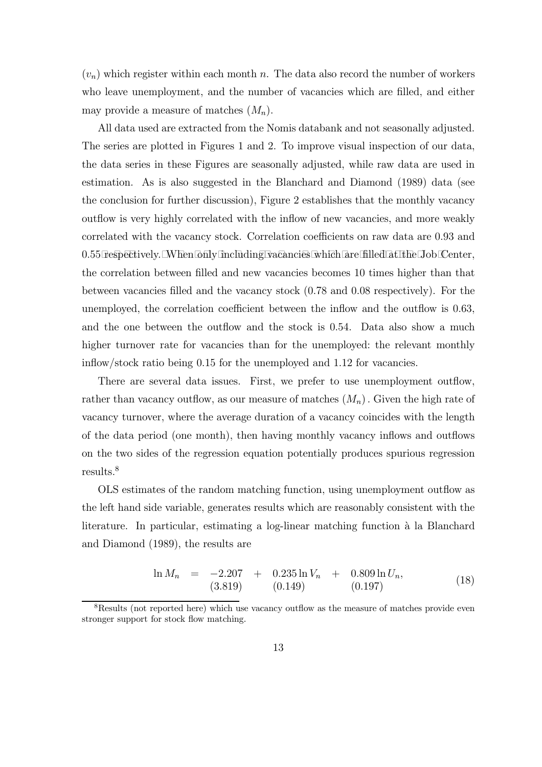$(v_n)$  which register within each month n. The data also record the number of workers who leave unemployment, and the number of vacancies which are filled, and either may provide a measure of matches  $(M_n)$ .

All data used are extracted from the Nomis databank and not seasonally adjusted. The series are plotted in Figures 1 and 2. To improve visual inspection of our data, the data series in these Figures are seasonally adjusted, while raw data are used in estimation. As is also suggested in the Blanchard and Diamond (1989) data (see the conclusion for further discussion), Figure 2 establishes that the monthly vacancy outflow is very highly correlated with the inflow of new vacancies, and more weakly correlated with the vacancy stock. Correlation coefficients on raw data are 0.93 and  $0.55$  respectively. When only including vacancies which are filled at the Job Center, the correlation between filled and new vacancies becomes 10 times higher than that between vacancies filled and the vacancy stock (0.78 and 0.08 respectively). For the unemployed, the correlation coefficient between the inflow and the outflow is 0.63, and the one between the outflow and the stock is 0.54. Data also show a much higher turnover rate for vacancies than for the unemployed: the relevant monthly inflow/stock ratio being 0.15 for the unemployed and 1.12 for vacancies.

There are several data issues. First, we prefer to use unemployment outflow, rather than vacancy outflow, as our measure of matches  $(M_n)$ . Given the high rate of vacancy turnover, where the average duration of a vacancy coincides with the length of the data period (one month), then having monthly vacancy inflows and outflows on the two sides of the regression equation potentially produces spurious regression results.<sup>8</sup>

OLS estimates of the random matching function, using unemployment outflow as the left hand side variable, generates results which are reasonably consistent with the literature. In particular, estimating a log-linear matching function à la Blanchard and Diamond (1989), the results are

$$
\ln M_n = -2.207 + 0.235 \ln V_n + 0.809 \ln U_n,
$$
  
(3.819) (0.149) (0.197)

<sup>8</sup>Results (not reported here) which use vacancy outflow as the measure of matches provide even stronger support for stock flow matching.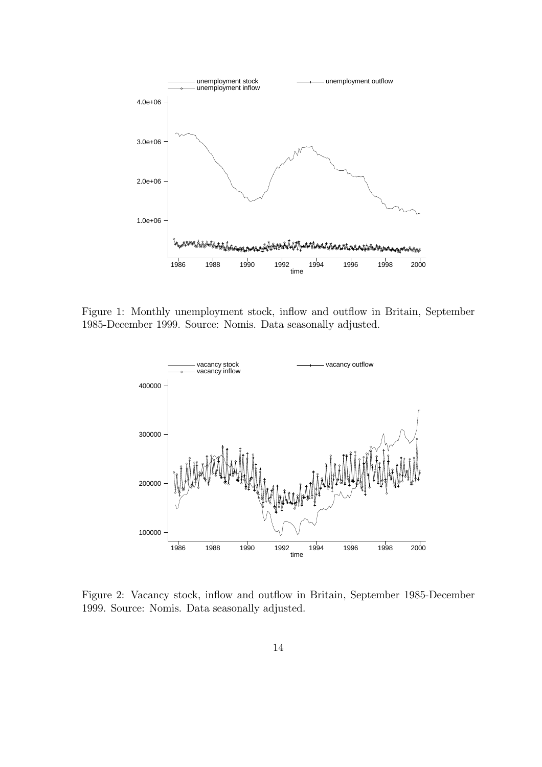

Figure 1: Monthly unemployment stock, inflow and outflow in Britain, September 1985-December 1999. Source: Nomis. Data seasonally adjusted.



Figure 2: Vacancy stock, inflow and outflow in Britain, September 1985-December 1999. Source: Nomis. Data seasonally adjusted.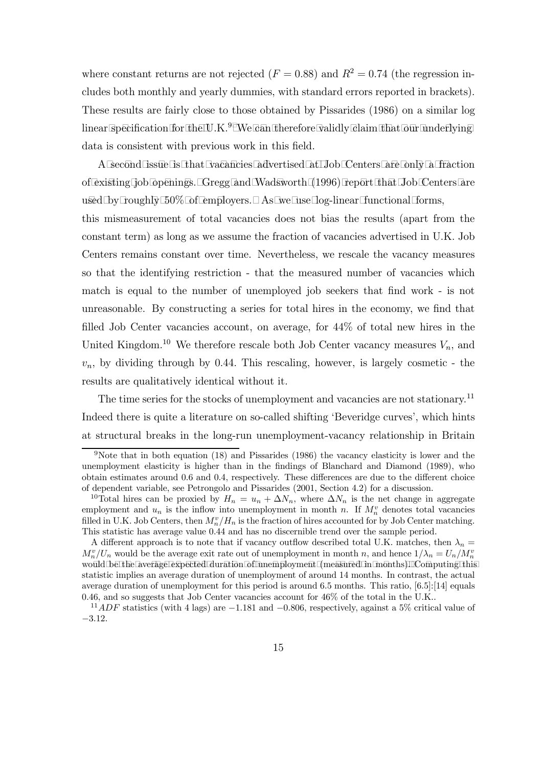where constant returns are not rejected  $(F = 0.88)$  and  $R^2 = 0.74$  (the regression includes both monthly and yearly dummies, with standard errors reported in brackets). These results are fairly close to those obtained by Pissarides (1986) on a similar log linear specification for the U.K.<sup>9</sup> We can therefore validly claim that our underlying data is consistent with previous work in this field.

A second issue is that vacancies advertised at Job Centers are only a fraction of existing job openings. Gregg and Wadsworth (1996) report that Job Centers are used by roughly  $50\%$  of employers. As we use log-linear functional forms,

this mismeasurement of total vacancies does not bias the results (apart from the constant term) as long as we assume the fraction of vacancies advertised in U.K. Job Centers remains constant over time. Nevertheless, we rescale the vacancy measures so that the identifying restriction - that the measured number of vacancies which match is equal to the number of unemployed job seekers that find work - is not unreasonable. By constructing a series for total hires in the economy, we find that filled Job Center vacancies account, on average, for 44% of total new hires in the United Kingdom.<sup>10</sup> We therefore rescale both Job Center vacancy measures  $V_n$ , and  $v_n$ , by dividing through by 0.44. This rescaling, however, is largely cosmetic - the results are qualitatively identical without it.

The time series for the stocks of unemployment and vacancies are not stationary.<sup>11</sup> Indeed there is quite a literature on so-called shifting 'Beveridge curves', which hints at structural breaks in the long-run unemployment-vacancy relationship in Britain

<sup>9</sup>Note that in both equation (18) and Pissarides (1986) the vacancy elasticity is lower and the unemployment elasticity is higher than in the findings of Blanchard and Diamond (1989), who obtain estimates around 0.6 and 0.4, respectively. These differences are due to the different choice of dependent variable, see Petrongolo and Pissarides (2001, Section 4.2) for a discussion.

<sup>&</sup>lt;sup>10</sup>Total hires can be proxied by  $H_n = u_n + \Delta N_n$ , where  $\Delta N_n$  is the net change in aggregate employment and  $u_n$  is the inflow into unemployment in month n. If  $M_n^v$  denotes total vacancies filled in U.K. Job Centers, then  $M_n^v/H_n$  is the fraction of hires accounted for by Job Center matching. This statistic has average value 0.44 and has no discernible trend over the sample period.

A different approach is to note that if vacancy outflow described total U.K. matches, then  $\lambda_n =$  $M_n^v/U_n$  would be the average exit rate out of unemployment in month n, and hence  $1/\lambda_n = U_n/M_n^v$ would be the average expected duration of unemployment (measured in months). Computing this statistic implies an average duration of unemployment of around 14 months. In contrast, the actual average duration of unemployment for this period is around 6.5 months. This ratio, [6.5]:[14] equals 0.46, and so suggests that Job Center vacancies account for 46% of the total in the U.K..

 $11<sup>11</sup>ADF$  statistics (with 4 lags) are  $-1.181$  and  $-0.806$ , respectively, against a 5% critical value of −3.12.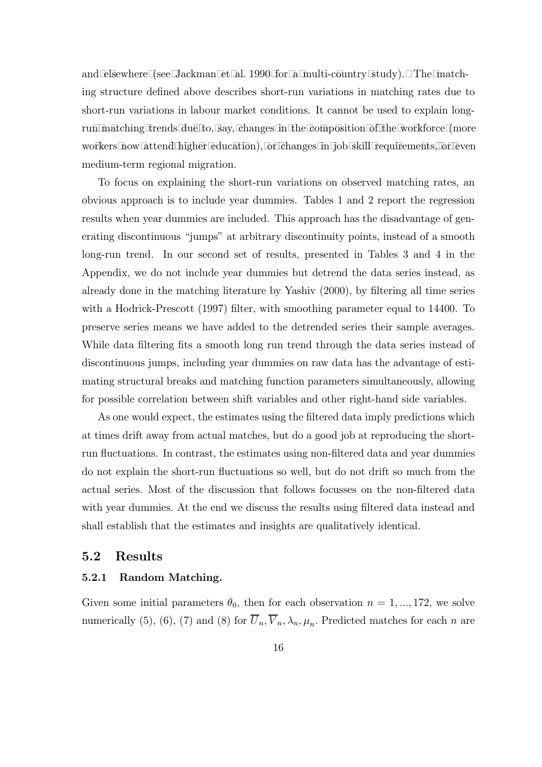and elsewhere (see Jackman et al. 1990 for a multi-country study). The matching structure defined above describes short-run variations in matching rates due to short-run variations in labour market conditions. It cannot be used to explain longrun matching trends due to, say, changes in the composition of the workforce (more workers now attend higher education), or changes in job skill requirements, or even medium-term regional migration.

To focus on explaining the short-run variations on observed matching rates, an obvious approach is to include year dummies. Tables 1 and 2 report the regression results when year dummies are included. This approach has the disadvantage of generating discontinuous "jumps" at arbitrary discontinuity points, instead of a smooth long-run trend. In our second set of results, presented in Tables 3 and 4 in the Appendix, we do not include year dummies but detrend the data series instead, as already done in the matching literature by Yashiv (2000), by filtering all time series with a Hodrick-Prescott (1997) filter, with smoothing parameter equal to 14400. To preserve series means we have added to the detrended series their sample averages. While data filtering fits a smooth long run trend through the data series instead of discontinuous jumps, including year dummies on raw data has the advantage of estimating structural breaks and matching function parameters simultaneously, allowing for possible correlation between shift variables and other right-hand side variables.

As one would expect, the estimates using the filtered data imply predictions which at times drift away from actual matches, but do a good job at reproducing the shortrun fluctuations. In contrast, the estimates using non-filtered data and year dummies do not explain the short-run fluctuations so well, but do not drift so much from the actual series. Most of the discussion that follows focusses on the non-filtered data with year dummies. At the end we discuss the results using filtered data instead and shall establish that the estimates and insights are qualitatively identical.

#### 5.2 Results

#### 5.2.1 Random Matching.

Given some initial parameters  $\theta_0$ , then for each observation  $n = 1, ..., 172$ , we solve numerically (5), (6), (7) and (8) for  $\overline{U}_n, \overline{V}_n, \lambda_n, \mu_n$ . Predicted matches for each n are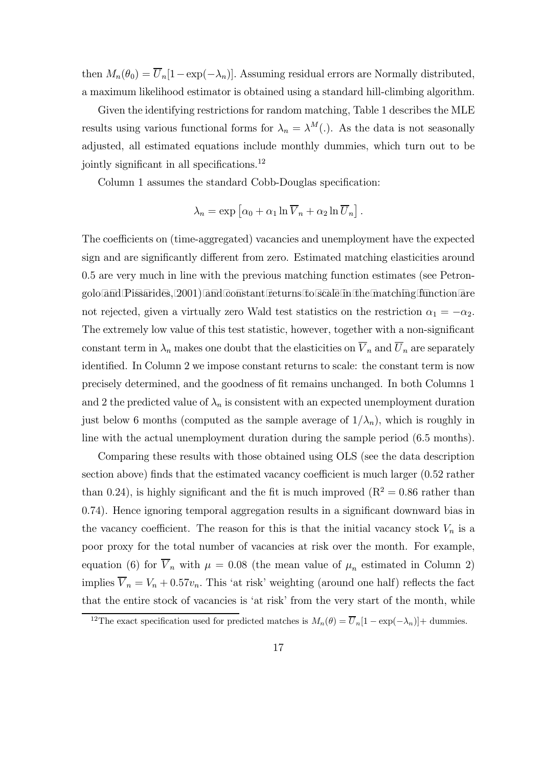then  $M_n(\theta_0) = \overline{U}_n[1-\exp(-\lambda_n)]$ . Assuming residual errors are Normally distributed, a maximum likelihood estimator is obtained using a standard hill-climbing algorithm.

Given the identifying restrictions for random matching, Table 1 describes the MLE results using various functional forms for  $\lambda_n = \lambda^M(.)$ . As the data is not seasonally adjusted, all estimated equations include monthly dummies, which turn out to be jointly significant in all specifications.<sup>12</sup>

Column 1 assumes the standard Cobb-Douglas specification:

$$
\lambda_n = \exp \left[ \alpha_0 + \alpha_1 \ln \overline{V}_n + \alpha_2 \ln \overline{U}_n \right].
$$

The coefficients on (time-aggregated) vacancies and unemployment have the expected sign and are significantly different from zero. Estimated matching elasticities around 0.5 are very much in line with the previous matching function estimates (see Petrongolo and Pissarides, 2001) and constant returns to scale in the matching function are not rejected, given a virtually zero Wald test statistics on the restriction  $\alpha_1 = -\alpha_2$ . The extremely low value of this test statistic, however, together with a non-significant constant term in  $\lambda_n$  makes one doubt that the elasticities on  $\overline{V}_n$  and  $\overline{U}_n$  are separately identified. In Column 2 we impose constant returns to scale: the constant term is now precisely determined, and the goodness of fit remains unchanged. In both Columns 1 and 2 the predicted value of  $\lambda_n$  is consistent with an expected unemployment duration just below 6 months (computed as the sample average of  $1/\lambda_n$ ), which is roughly in line with the actual unemployment duration during the sample period (6.5 months).

Comparing these results with those obtained using OLS (see the data description section above) finds that the estimated vacancy coefficient is much larger (0.52 rather than 0.24), is highly significant and the fit is much improved  $(R^2 = 0.86$  rather than 0.74). Hence ignoring temporal aggregation results in a significant downward bias in the vacancy coefficient. The reason for this is that the initial vacancy stock  $V_n$  is a poor proxy for the total number of vacancies at risk over the month. For example, equation (6) for  $\overline{V}_n$  with  $\mu = 0.08$  (the mean value of  $\mu_n$  estimated in Column 2) implies  $\overline{V}_n = V_n + 0.57v_n$ . This 'at risk' weighting (around one half) reflects the fact that the entire stock of vacancies is 'at risk' from the very start of the month, while

<sup>&</sup>lt;sup>12</sup>The exact specification used for predicted matches is  $M_n(\theta) = \overline{U}_n[1 - \exp(-\lambda_n)] +$  dummies.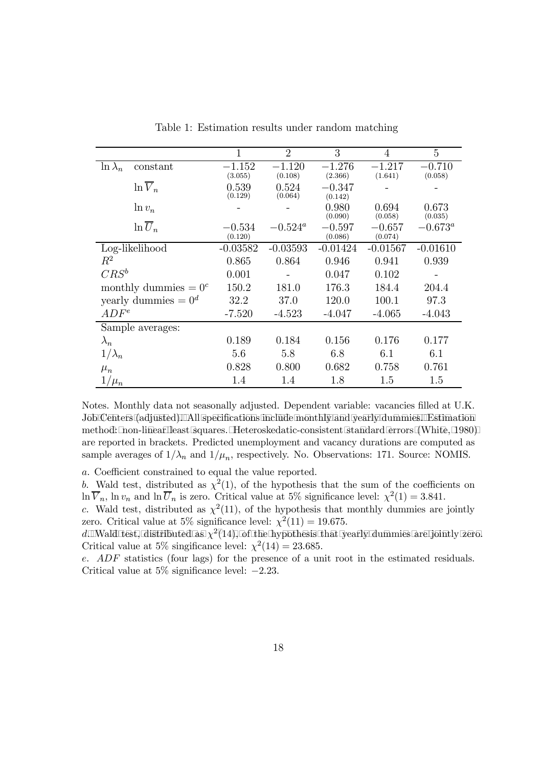|                             | $\mathbf{1}$        | $\overline{2}$ | 3                   | $\overline{4}$      | 5                |
|-----------------------------|---------------------|----------------|---------------------|---------------------|------------------|
| $\ln \lambda_n$<br>constant | $-1.152$            | $-1.120$       | $-1.276$            | $-1.217$            | $-0.710$         |
|                             | (3.055)             | (0.108)        | (2.366)             | (1.641)             | (0.058)          |
| $\ln \overline{V}_n$        | 0.539               | 0.524          | $-0.347$            |                     |                  |
|                             | (0.129)             | (0.064)        | (0.142)             |                     |                  |
| $\ln v_n$                   |                     |                | 0.980<br>(0.090)    | 0.694<br>(0.058)    | 0.673<br>(0.035) |
| $\ln \overline{U}_n$        |                     |                |                     |                     |                  |
|                             | $-0.534$<br>(0.120) | $-0.524^a$     | $-0.597$<br>(0.086) | $-0.657$<br>(0.074) | $-0.673^a$       |
| Log-likelihood              | $-0.03582$          | $-0.03593$     | $-0.01424$          | $-0.01567$          | $-0.01610$       |
|                             |                     |                |                     |                     |                  |
| $R^2$                       | 0.865               | 0.864          | 0.946               | 0.941               | 0.939            |
| $CRS^b$                     | 0.001               |                | 0.047               | 0.102               |                  |
| monthly dummies $= 0^c$     | 150.2               | 181.0          | 176.3               | 184.4               | 204.4            |
| yearly dummies $= 0^d$      | 32.2                | 37.0           | 120.0               | 100.1               | 97.3             |
| $ADF^e$                     | $-7.520$            | $-4.523$       | $-4.047$            | $-4.065$            | $-4.043$         |
| Sample averages:            |                     |                |                     |                     |                  |
| $\lambda_n$                 | 0.189               | 0.184          | 0.156               | 0.176               | 0.177            |
| $1/\lambda_n$               | 5.6                 | 5.8            | 6.8                 | 6.1                 | 6.1              |
| $\mu_n$                     | 0.828               | 0.800          | 0.682               | 0.758               | 0.761            |
| $1/\mu_n$                   | 1.4                 | 1.4            | 1.8                 | 1.5                 | 1.5              |

Table 1: Estimation results under random matching

Notes. Monthly data not seasonally adjusted. Dependent variable: vacancies filled at U.K. Job Centers (adjusted). All specifications include monthly and yearly dummies. Estimation method: non-linear least squares. Heteroskedatic-consistent standard errors (White, 1980) are reported in brackets. Predicted unemployment and vacancy durations are computed as sample averages of  $1/\lambda_n$  and  $1/\mu_n$ , respectively. No. Observations: 171. Source: NOMIS.

a. Coefficient constrained to equal the value reported.

b. Wald test, distributed as  $\chi^2(1)$ , of the hypothesis that the sum of the coefficients on  $\ln \overline{V}_n$ ,  $\ln v_n$  and  $\ln \overline{U}_n$  is zero. Critical value at 5% significance level:  $\chi^2(1) = 3.841$ .

c. Wald test, distributed as  $\chi^2(11)$ , of the hypothesis that monthly dummies are jointly zero. Critical value at 5% significance level:  $\chi^2(11) = 19.675$ .

d. Wald test, distributed as  $\chi^2(14)$ , of the hypothesis that yearly dummies are jointly zero. Critical value at 5% singificance level:  $\chi^2(14) = 23.685$ .

e. ADF statistics (four lags) for the presence of a unit root in the estimated residuals. Critical value at 5% significance level: −2.23.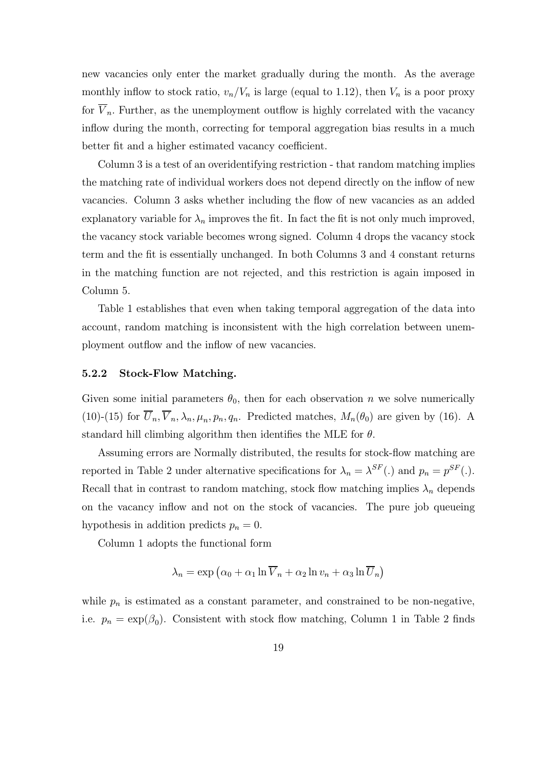new vacancies only enter the market gradually during the month. As the average monthly inflow to stock ratio,  $v_n/V_n$  is large (equal to 1.12), then  $V_n$  is a poor proxy for  $V_n$ . Further, as the unemployment outflow is highly correlated with the vacancy inflow during the month, correcting for temporal aggregation bias results in a much better fit and a higher estimated vacancy coefficient.

Column 3 is a test of an overidentifying restriction - that random matching implies the matching rate of individual workers does not depend directly on the inflow of new vacancies. Column 3 asks whether including the flow of new vacancies as an added explanatory variable for  $\lambda_n$  improves the fit. In fact the fit is not only much improved, the vacancy stock variable becomes wrong signed. Column 4 drops the vacancy stock term and the fit is essentially unchanged. In both Columns 3 and 4 constant returns in the matching function are not rejected, and this restriction is again imposed in Column 5.

Table 1 establishes that even when taking temporal aggregation of the data into account, random matching is inconsistent with the high correlation between unemployment outflow and the inflow of new vacancies.

#### 5.2.2 Stock-Flow Matching.

Given some initial parameters  $\theta_0$ , then for each observation n we solve numerically (10)-(15) for  $\overline{U}_n, \overline{V}_n, \lambda_n, \mu_n, p_n, q_n$ . Predicted matches,  $M_n(\theta_0)$  are given by (16). A standard hill climbing algorithm then identifies the MLE for  $\theta$ .

Assuming errors are Normally distributed, the results for stock-flow matching are reported in Table 2 under alternative specifications for  $\lambda_n = \lambda^{SF}$ .) and  $p_n = p^{SF}$ . Recall that in contrast to random matching, stock flow matching implies  $\lambda_n$  depends on the vacancy inflow and not on the stock of vacancies. The pure job queueing hypothesis in addition predicts  $p_n = 0$ .

Column 1 adopts the functional form

$$
\lambda_n = \exp\left(\alpha_0 + \alpha_1 \ln \overline{V}_n + \alpha_2 \ln v_n + \alpha_3 \ln \overline{U}_n\right)
$$

while  $p_n$  is estimated as a constant parameter, and constrained to be non-negative, i.e.  $p_n = \exp(\beta_0)$ . Consistent with stock flow matching, Column 1 in Table 2 finds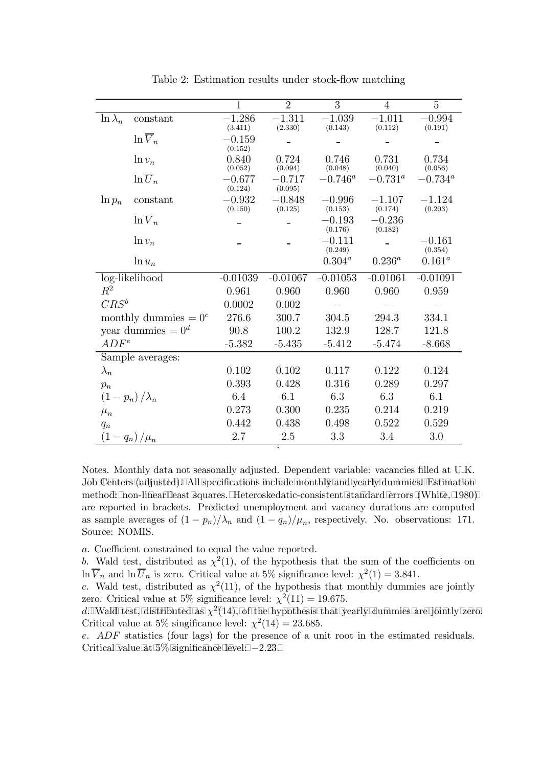|                         |                      | $\mathbf{1}$        | $\overline{2}$      | $\overline{3}$       | $\overline{4}$      | $\overline{5}$       |
|-------------------------|----------------------|---------------------|---------------------|----------------------|---------------------|----------------------|
| $\ln \lambda_n$         | constant             | $-1.286$<br>(3.411) | $-1.311$<br>(2.330) | $-1.039$<br>(0.143)  | $-1.011$<br>(0.112) | $-0.994$<br>(0.191)  |
|                         | $\ln \overline{V}_n$ | $-0.159$<br>(0.152) |                     |                      |                     |                      |
|                         | $\ln v_n$            | 0.840<br>(0.052)    | 0.724<br>(0.094)    | 0.746<br>(0.048)     | 0.731<br>(0.040)    | 0.734<br>(0.056)     |
|                         | $\ln \overline{U}_n$ | $-0.677$<br>(0.124) | $-0.717$<br>(0.095) | $-0.746^a$           | $-0.731^{\circ}$    | $-0.734^{\circ}$     |
| $\ln p_n$               | constant             | $-0.932$<br>(0.150) | $-0.848$<br>(0.125) | $-0.996$<br>(0.153)  | $-1.107$<br>(0.174) | $-1.124$<br>(0.203)  |
|                         | $\ln \overline{V}_n$ |                     |                     | $-0.193$<br>(0.176)  | $-0.236$<br>(0.182) |                      |
|                         | $\ln v_n$            |                     |                     | $-0.111$             |                     | $-0.161$             |
|                         | $\ln u_n$            |                     |                     | (0.249)<br>$0.304^a$ | $0.236^a$           | (0.354)<br>$0.161^a$ |
| log-likelihood          |                      | $-0.01039$          | $-0.01067$          | $-0.01053$           | $-0.01061$          | $-0.01091$           |
| $R^2$                   |                      | 0.961               | 0.960               | 0.960                | 0.960               | 0.959                |
| $CRS^b$                 |                      | 0.0002              | 0.002               |                      |                     |                      |
| monthly dummies $= 0^c$ |                      | 276.6               | 300.7               | 304.5                | 294.3               | 334.1                |
|                         | year dummies = $0^d$ | 90.8                | 100.2               | 132.9                | 128.7               | 121.8                |
| $ADF^e$                 |                      | $-5.382$            | $-5.435$            | $-5.412$             | $-5.474$            | $-8.668$             |
|                         | Sample averages:     |                     |                     |                      |                     |                      |
| $\lambda_n$             |                      | 0.102               | 0.102               | 0.117                | 0.122               | 0.124                |
| $p_n$                   |                      | 0.393               | 0.428               | 0.316                | 0.289               | 0.297                |
|                         | $(1-p_n)/\lambda_n$  | 6.4                 | 6.1                 | 6.3                  | 6.3                 | 6.1                  |
| $\mu_n$                 |                      | 0.273               | 0.300               | 0.235                | 0.214               | 0.219                |
| $q_n$                   |                      | 0.442               | 0.438               | 0.498                | 0.522               | 0.529                |
| (1 -                    | $- q_n)/\mu_n$       | 2.7                 | 2.5                 | 3.3                  | 3.4                 | 3.0                  |
|                         |                      |                     | $\epsilon$          |                      |                     |                      |

Table 2: Estimation results under stock-flow matching

Notes. Monthly data not seasonally adjusted. Dependent variable: vacancies filled at U.K. Job Centers (adjusted). All specifications include monthly and yearly dummies. Estimation method: non-linear least squares. Heteroskedatic-consistent standard errors (White, 1980) are reported in brackets. Predicted unemployment and vacancy durations are computed as sample averages of  $(1 - p_n)/\lambda_n$  and  $(1 - q_n)/\mu_n$ , respectively. No. observations: 171. Source: NOMIS.

a. Coefficient constrained to equal the value reported.

b. Wald test, distributed as  $\chi^2(1)$ , of the hypothesis that the sum of the coefficients on  $\ln \overline{V}_n$  and  $\ln \overline{U}_n$  is zero. Critical value at 5% significance level:  $\chi^2(1) = 3.841$ .

c. Wald test, distributed as  $\chi^2(11)$ , of the hypothesis that monthly dummies are jointly zero. Critical value at 5% significance level:  $\chi^2(11) = 19.675$ .

d. Wald test, distributed as  $\chi^2(14)$ , of the hypothesis that yearly dummies are jointly zero. Critical value at 5% singificance level:  $\chi^2(14) = 23.685$ .

e. ADF statistics (four lags) for the presence of a unit root in the estimated residuals. Critical value at  $5\%$  significance level:  $-2.23$ .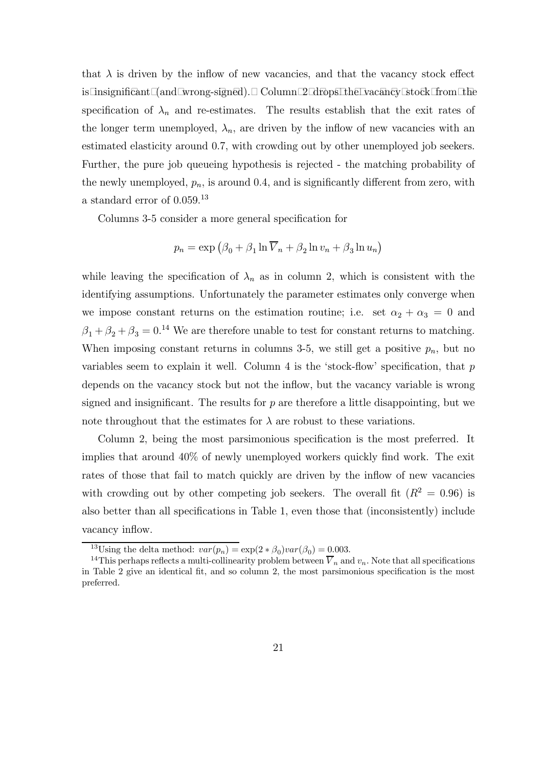that  $\lambda$  is driven by the inflow of new vacancies, and that the vacancy stock effect is insignificant (and wrong-signed). Column 2 drops the vacancy stock from the specification of  $\lambda_n$  and re-estimates. The results establish that the exit rates of the longer term unemployed,  $\lambda_n$ , are driven by the inflow of new vacancies with an estimated elasticity around 0.7, with crowding out by other unemployed job seekers. Further, the pure job queueing hypothesis is rejected - the matching probability of the newly unemployed,  $p_n$ , is around 0.4, and is significantly different from zero, with a standard error of 0.059.<sup>13</sup>

Columns 3-5 consider a more general specification for

$$
p_n = \exp (\beta_0 + \beta_1 \ln \overline{V}_n + \beta_2 \ln v_n + \beta_3 \ln u_n)
$$

while leaving the specification of  $\lambda_n$  as in column 2, which is consistent with the identifying assumptions. Unfortunately the parameter estimates only converge when we impose constant returns on the estimation routine; i.e. set  $\alpha_2 + \alpha_3 = 0$  and  $\beta_1 + \beta_2 + \beta_3 = 0$ <sup>14</sup> We are therefore unable to test for constant returns to matching. When imposing constant returns in columns 3-5, we still get a positive  $p_n$ , but no variables seem to explain it well. Column 4 is the 'stock-flow' specification, that  $p$ depends on the vacancy stock but not the inflow, but the vacancy variable is wrong signed and insignificant. The results for  $p$  are therefore a little disappointing, but we note throughout that the estimates for  $\lambda$  are robust to these variations.

Column 2, being the most parsimonious specification is the most preferred. It implies that around 40% of newly unemployed workers quickly find work. The exit rates of those that fail to match quickly are driven by the inflow of new vacancies with crowding out by other competing job seekers. The overall fit  $(R^2 = 0.96)$  is also better than all specifications in Table 1, even those that (inconsistently) include vacancy inflow.

<sup>&</sup>lt;sup>13</sup>Using the delta method:  $var(p_n) = \exp(2 * \beta_0)var(\beta_0) = 0.003$ .<br><sup>14</sup>This perhaps reflects a multi-collinearity problem between  $\overline{V}_n$  and  $v_n$ . Note that all specifications in Table 2 give an identical fit, and so column 2, the most parsimonious specification is the most preferred.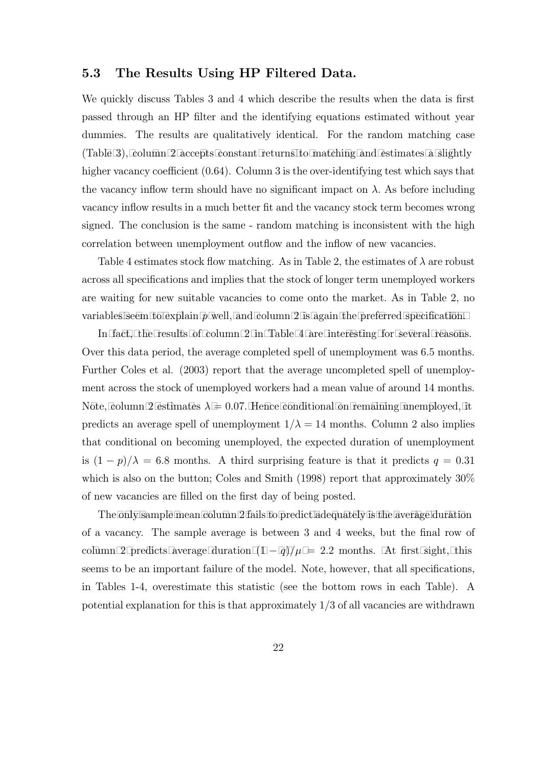#### 5.3 The Results Using HP Filtered Data.

We quickly discuss Tables 3 and 4 which describe the results when the data is first passed through an HP filter and the identifying equations estimated without year dummies. The results are qualitatively identical. For the random matching case (Table 3), column 2 accepts constant returns to matching and estimates a slightly higher vacancy coefficient  $(0.64)$ . Column 3 is the over-identifying test which says that the vacancy inflow term should have no significant impact on  $\lambda$ . As before including vacancy inflow results in a much better fit and the vacancy stock term becomes wrong signed. The conclusion is the same - random matching is inconsistent with the high correlation between unemployment outflow and the inflow of new vacancies.

Table 4 estimates stock flow matching. As in Table 2, the estimates of  $\lambda$  are robust across all specifications and implies that the stock of longer term unemployed workers are waiting for new suitable vacancies to come onto the market. As in Table 2, no variables seem to explain  $p$  well, and column 2 is again the preferred specification.

In fact, the results of column 2 in Table 4 are interesting for several reasons. Over this data period, the average completed spell of unemployment was 6.5 months. Further Coles et al. (2003) report that the average uncompleted spell of unemployment across the stock of unemployed workers had a mean value of around 14 months. Note, column 2 estimates  $\lambda = 0.07$ . Hence conditional on remaining unemployed, it predicts an average spell of unemployment  $1/\lambda = 14$  months. Column 2 also implies that conditional on becoming unemployed, the expected duration of unemployment is  $(1-p)/\lambda = 6.8$  months. A third surprising feature is that it predicts  $q = 0.31$ which is also on the button; Coles and Smith (1998) report that approximately  $30\%$ of new vacancies are filled on the first day of being posted.

The only sample mean column 2 fails to predict adequately is the average duration of a vacancy. The sample average is between 3 and 4 weeks, but the final row of column 2 predicts average duration  $(1 - q)/\mu = 2.2$  months. At first sight, this seems to be an important failure of the model. Note, however, that all specifications, in Tables 1-4, overestimate this statistic (see the bottom rows in each Table). A potential explanation for this is that approximately 1/3 of all vacancies are withdrawn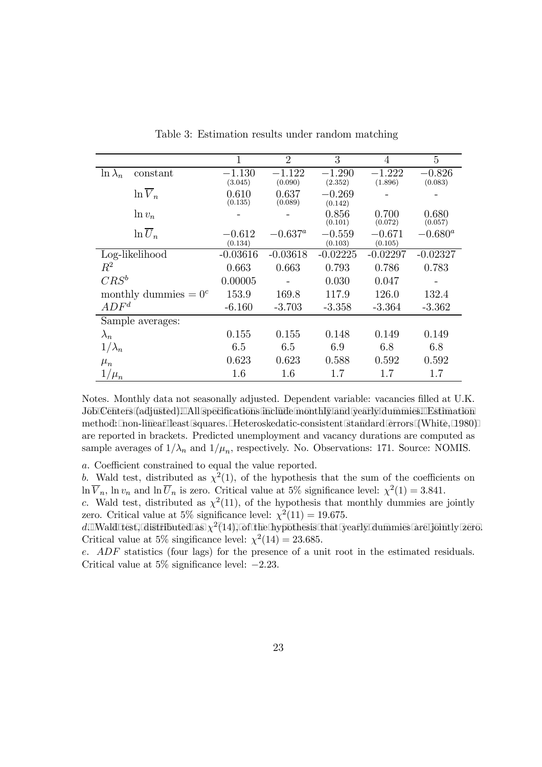|                             | 1                   | $\overline{2}$   | 3                   | $\overline{4}$      | 5                |
|-----------------------------|---------------------|------------------|---------------------|---------------------|------------------|
| constant<br>$\ln \lambda_n$ | $-1.130$            | $-1.122$         | $-1.290$            | $-1.222$            | $-0.826$         |
|                             | (3.045)             | (0.090)          | (2.352)             | (1.896)             | (0.083)          |
| $\ln \overline{V}_n$        | 0.610<br>(0.135)    | 0.637<br>(0.089) | $-0.269$<br>(0.142) |                     |                  |
| $\ln v_n$                   |                     |                  | 0.856<br>(0.101)    | 0.700<br>(0.072)    | 0.680<br>(0.057) |
| $\ln \overline{U}_n$        | $-0.612$<br>(0.134) | $-0.637^{\circ}$ | $-0.559$<br>(0.103) | $-0.671$<br>(0.105) | $-0.680^a$       |
| Log-likelihood              | $-0.03616$          | $-0.03618$       | $-0.02225$          | $-0.02297$          | $-0.02327$       |
| $R^2$                       | 0.663               | 0.663            | 0.793               | 0.786               | 0.783            |
| $CRS^b$                     | 0.00005             |                  | 0.030               | 0.047               |                  |
| monthly dummies $= 0^c$     | 153.9               | 169.8            | 117.9               | 126.0               | 132.4            |
| $ADF^d$                     | $-6.160$            | $-3.703$         | $-3.358$            | $-3.364$            | $-3.362$         |
| Sample averages:            |                     |                  |                     |                     |                  |
| $\lambda_n$                 | 0.155               | 0.155            | 0.148               | 0.149               | 0.149            |
| $1/\lambda_n$               | 6.5                 | 6.5              | 6.9                 | 6.8                 | 6.8              |
| $\mu_n$                     | 0.623               | 0.623            | 0.588               | 0.592               | 0.592            |
| $1/\mu_n$                   | 1.6                 | $1.6\,$          | 1.7                 | 1.7                 | $1.7\,$          |

Table 3: Estimation results under random matching

Notes. Monthly data not seasonally adjusted. Dependent variable: vacancies filled at U.K. Job Centers (adjusted). All specifications include monthly and yearly dummies. Estimation method: non-linear least squares. Heteroskedatic-consistent standard errors (White, 1980) are reported in brackets. Predicted unemployment and vacancy durations are computed as sample averages of  $1/\lambda_n$  and  $1/\mu_n$ , respectively. No. Observations: 171. Source: NOMIS.

a. Coefficient constrained to equal the value reported.

b. Wald test, distributed as  $\chi^2(1)$ , of the hypothesis that the sum of the coefficients on  $\ln \overline{V}_n$ ,  $\ln v_n$  and  $\ln \overline{U}_n$  is zero. Critical value at 5% significance level:  $\chi^2(1) = 3.841$ .

c. Wald test, distributed as  $\chi^2(11)$ , of the hypothesis that monthly dummies are jointly zero. Critical value at 5% significance level:  $\chi^2(11) = 19.675$ .

d. Wald test, distributed as  $\chi^2(14)$ , of the hypothesis that yearly dummies are jointly zero. Critical value at 5% singificance level:  $\chi^2(14) = 23.685$ .

e. ADF statistics (four lags) for the presence of a unit root in the estimated residuals. Critical value at 5% significance level: −2.23.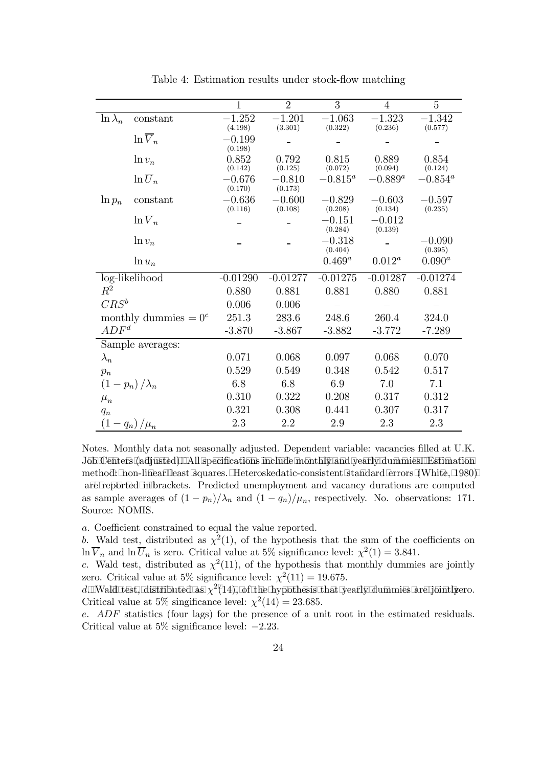|                         |                            | $\mathbf{1}$        | $\overline{2}$      | 3                   | $\overline{4}$      | 5                   |
|-------------------------|----------------------------|---------------------|---------------------|---------------------|---------------------|---------------------|
| $\ln \lambda_n$         | constant                   | $-1.252$            | $-1.201$            | $-1.063$            | $-1.323$            | $-1.342$            |
|                         | $\ln \overline{V}_n$       | (4.198)             | (3.301)             | (0.322)             | (0.236)             | (0.577)             |
|                         |                            | $-0.199$<br>(0.198) |                     |                     |                     |                     |
|                         | $\ln v_n$                  | 0.852<br>(0.142)    | 0.792<br>(0.125)    | 0.815<br>(0.072)    | 0.889<br>(0.094)    | 0.854<br>(0.124)    |
|                         | $\ln \overline{U}_n$       | $-0.676$<br>(0.170) | $-0.810$<br>(0.173) | $-0.815^a$          | $-0.889^a$          | $-0.854^a$          |
| $\ln p_n$               | constant                   | $-0.636$<br>(0.116) | $-0.600$<br>(0.108) | $-0.829$<br>(0.208) | $-0.603$<br>(0.134) | $-0.597$<br>(0.235) |
|                         | $\ln \overline{V}_n$       |                     |                     | $-0.151$<br>(0.284) | $-0.012$<br>(0.139) |                     |
|                         | $\ln v_n$                  |                     |                     | $-0.318$<br>(0.404) |                     | $-0.090$<br>(0.395) |
|                         | $\ln u_n$                  |                     |                     | $0.469^a$           | $0.012^a$           | $0.090^{a}$         |
| log-likelihood          |                            | $-0.01290$          | $-0.01277$          | $-0.01275$          | $-0.01287$          | $-0.01274$          |
| $R^2$                   |                            | 0.880               | 0.881               | 0.881               | 0.880               | 0.881               |
| $CRS^b$                 |                            | 0.006               | 0.006               |                     |                     |                     |
| monthly dummies $= 0^c$ |                            | 251.3               | 283.6               | 248.6               | 260.4               | 324.0               |
| $ADF^d$                 |                            | $-3.870$            | $-3.867$            | $-3.882$            | $-3.772$            | $-7.289$            |
| Sample averages:        |                            |                     |                     |                     |                     |                     |
| $\lambda_n$             |                            | 0.071               | 0.068               | 0.097               | 0.068               | 0.070               |
| $p_n$                   |                            | 0.529               | 0.549               | 0.348               | 0.542               | 0.517               |
| $(1-p_n)/\lambda_n$     |                            | 6.8                 | 6.8                 | 6.9                 | 7.0                 | 7.1                 |
| $\mu_n$                 |                            | 0.310               | 0.322               | 0.208               | 0.317               | 0.312               |
| $q_n$                   |                            | 0.321               | 0.308               | 0.441               | 0.307               | 0.317               |
|                         | $\left(1-q_n\right)/\mu_n$ | 2.3                 | 2.2                 | 2.9                 | 2.3                 | 2.3                 |

Table 4: Estimation results under stock-flow matching

Notes. Monthly data not seasonally adjusted. Dependent variable: vacancies filled at U.K. Job Centers (adjusted). All specifications include monthly and yearly dummies. Estimation method: non-linear least squares. Heteroskedatic-consistent standard errors (White, 1980) are reported in brackets. Predicted unemployment and vacancy durations are computed as sample averages of  $(1 - p_n)/\lambda_n$  and  $(1 - q_n)/\mu_n$ , respectively. No. observations: 171. Source: NOMIS.

a. Coefficient constrained to equal the value reported.

b. Wald test, distributed as  $\chi^2(1)$ , of the hypothesis that the sum of the coefficients on  $\ln \overline{V}_n$  and  $\ln \overline{U}_n$  is zero. Critical value at 5% significance level:  $\chi^2(1) = 3.841$ .

c. Wald test, distributed as  $\chi^2(11)$ , of the hypothesis that monthly dummies are jointly zero. Critical value at 5% significance level:  $\chi^2(11) = 19.675$ .

d. Wald test, distributed as  $\chi^2(14)$ , of the hypothesis that yearly dummies are jointly ero. Critical value at 5% singificance level:  $\chi^2(14) = 23.685$ .

e. ADF statistics (four lags) for the presence of a unit root in the estimated residuals. Critical value at 5% significance level: −2.23.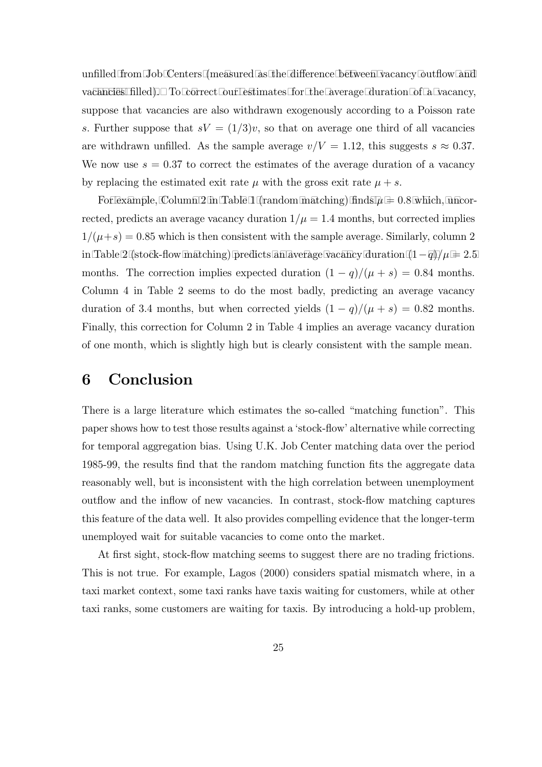unfilled from Job Centers (measured as the difference between vacancy outflow and va cancies filled). To correct our estimates for the average duration of a vacancy, suppose that vacancies are also withdrawn exogenously according to a Poisson rate s. Further suppose that  $sV = (1/3)v$ , so that on average one third of all vacancies are withdrawn unfilled. As the sample average  $v/V = 1.12$ , this suggests  $s \approx 0.37$ . We now use  $s = 0.37$  to correct the estimates of the average duration of a vacancy by replacing the estimated exit rate  $\mu$  with the gross exit rate  $\mu + s$ .

For example, Column 2 in Table 1 (random matching) finds  $\mu = 0.8$  which, uncorrected, predicts an average vacancy duration  $1/\mu = 1.4$  months, but corrected implies  $1/(\mu+s)=0.85$  which is then consistent with the sample average. Similarly, column 2 in Table 2 (stock-flow matching) predicts an average vacancy duration  $(1-q)/\mu = 2.5$ months. The correction implies expected duration  $(1 - q)/(\mu + s) = 0.84$  months. Column 4 in Table 2 seems to do the most badly, predicting an average vacancy duration of 3.4 months, but when corrected yields  $(1 - q)/(\mu + s) = 0.82$  months. Finally, this correction for Column 2 in Table 4 implies an average vacancy duration of one month, which is slightly high but is clearly consistent with the sample mean.

## 6 Conclusion

There is a large literature which estimates the so-called "matching function". This paper shows how to test those results against a 'stock-flow' alternative while correcting for temporal aggregation bias. Using U.K. Job Center matching data over the period 1985-99, the results find that the random matching function fits the aggregate data reasonably well, but is inconsistent with the high correlation between unemployment outflow and the inflow of new vacancies. In contrast, stock-flow matching captures this feature of the data well. It also provides compelling evidence that the longer-term unemployed wait for suitable vacancies to come onto the market.

At first sight, stock-flow matching seems to suggest there are no trading frictions. This is not true. For example, Lagos (2000) considers spatial mismatch where, in a taxi market context, some taxi ranks have taxis waiting for customers, while at other taxi ranks, some customers are waiting for taxis. By introducing a hold-up problem,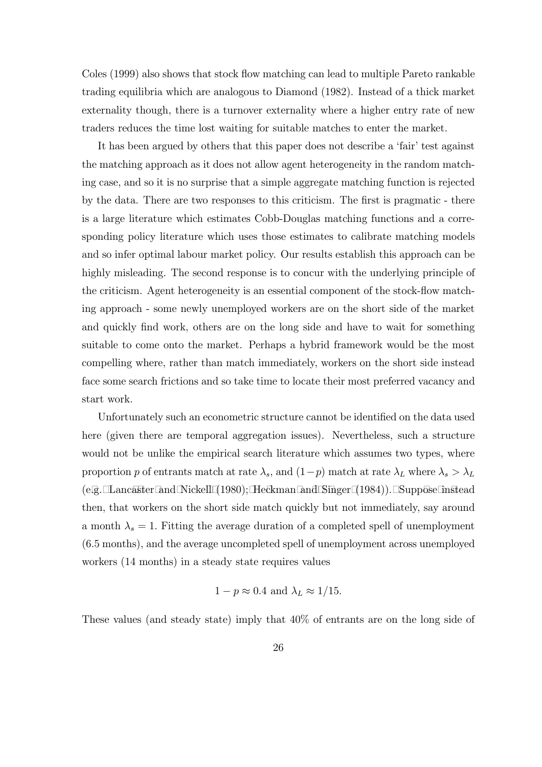Coles (1999) also shows that stock flow matching can lead to multiple Pareto rankable trading equilibria which are analogous to Diamond (1982). Instead of a thick market externality though, there is a turnover externality where a higher entry rate of new traders reduces the time lost waiting for suitable matches to enter the market.

It has been argued by others that this paper does not describe a 'fair' test against the matching approach as it does not allow agent heterogeneity in the random matching case, and so it is no surprise that a simple aggregate matching function is rejected by the data. There are two responses to this criticism. The first is pragmatic - there is a large literature which estimates Cobb-Douglas matching functions and a corresponding policy literature which uses those estimates to calibrate matching models and so infer optimal labour market policy. Our results establish this approach can be highly misleading. The second response is to concur with the underlying principle of the criticism. Agent heterogeneity is an essential component of the stock-flow matching approach - some newly unemployed workers are on the short side of the market and quickly find work, others are on the long side and have to wait for something suitable to come onto the market. Perhaps a hybrid framework would be the most compelling where, rather than match immediately, workers on the short side instead face some search frictions and so take time to locate their most preferred vacancy and start work.

Unfortunately such an econometric structure cannot be identified on the data used here (given there are temporal aggregation issues). Nevertheless, such a structure would not be unlike the empirical search literature which assumes two types, where proportion p of entrants match at rate  $\lambda_s$ , and  $(1-p)$  match at rate  $\lambda_L$  where  $\lambda_s > \lambda_L$ (e.g. Lancaster and Nickell  $(1980)$ ; Heckman and Singer  $(1984)$ ). Suppose instead then, that workers on the short side match quickly but not immediately, say around a month  $\lambda_s = 1$ . Fitting the average duration of a completed spell of unemployment (6.5 months), and the average uncompleted spell of unemployment across unemployed workers (14 months) in a steady state requires values

$$
1 - p \approx 0.4
$$
 and  $\lambda_L \approx 1/15$ .

These values (and steady state) imply that 40% of entrants are on the long side of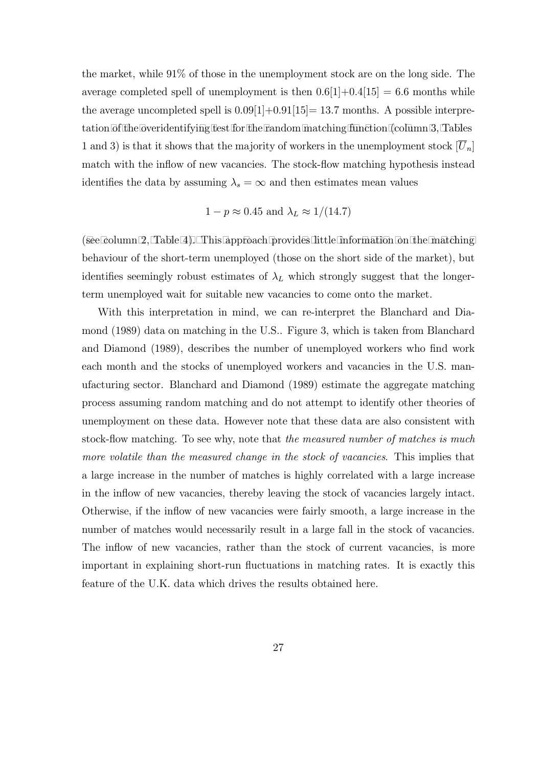the market, while 91% of those in the unemployment stock are on the long side. The average completed spell of unemployment is then  $0.6[1]+0.4[15] = 6.6$  months while the average uncompleted spell is  $0.09[1]+0.91[15]=13.7$  months. A possible interpretation of the overidentifying test for the random matching function (column 3, Tables 1 and 3) is that it shows that the majority of workers in the unemployment stock  $[U_n]$ match with the inflow of new vacancies. The stock-flow matching hypothesis instead identifies the data by assuming  $\lambda_s = \infty$  and then estimates mean values

$$
1 - p \approx 0.45
$$
 and  $\lambda_L \approx 1/(14.7)$ 

(see column 2, Table 4). This approach provides little information on the matching behaviour of the short-term unemployed (those on the short side of the market), but identifies seemingly robust estimates of  $\lambda_L$  which strongly suggest that the longerterm unemployed wait for suitable new vacancies to come onto the market.

With this interpretation in mind, we can re-interpret the Blanchard and Diamond (1989) data on matching in the U.S.. Figure 3, which is taken from Blanchard and Diamond (1989), describes the number of unemployed workers who find work each month and the stocks of unemployed workers and vacancies in the U.S. manufacturing sector. Blanchard and Diamond (1989) estimate the aggregate matching process assuming random matching and do not attempt to identify other theories of unemployment on these data. However note that these data are also consistent with stock-flow matching. To see why, note that the measured number of matches is much more volatile than the measured change in the stock of vacancies. This implies that a large increase in the number of matches is highly correlated with a large increase in the inflow of new vacancies, thereby leaving the stock of vacancies largely intact. Otherwise, if the inflow of new vacancies were fairly smooth, a large increase in the number of matches would necessarily result in a large fall in the stock of vacancies. The inflow of new vacancies, rather than the stock of current vacancies, is more important in explaining short-run fluctuations in matching rates. It is exactly this feature of the U.K. data which drives the results obtained here.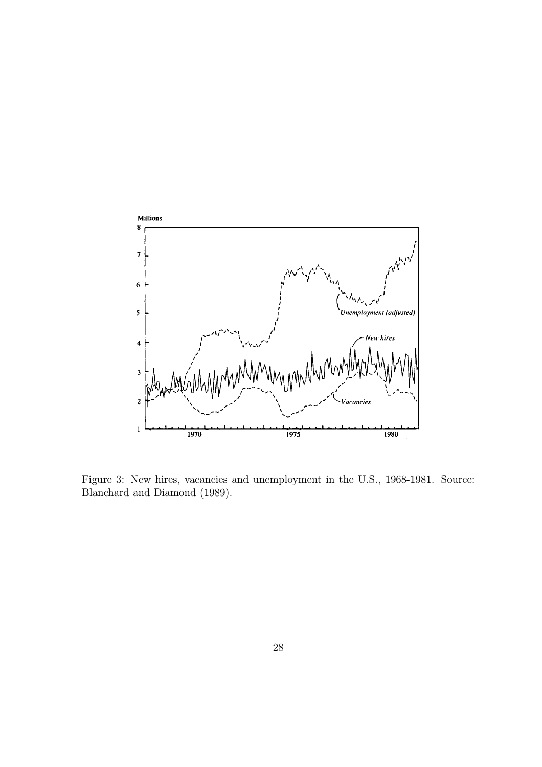

Figure 3: New hires, vacancies and unemployment in the U.S., 1968-1981. Source: Blanchard and Diamond (1989).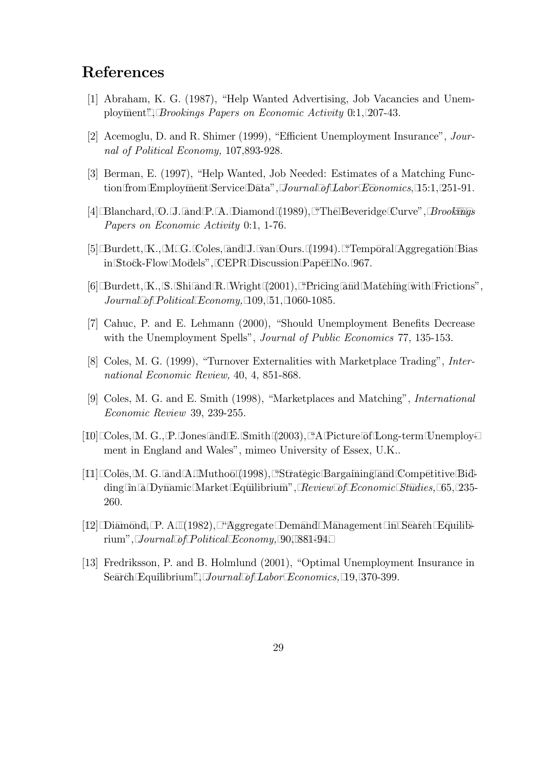## References

- [1] Abraham, K. G. (1987), "Help Wanted Advertising, Job Vacancies and Unemployment", *Brookings Papers on Economic Activity* 0:1, 207-43.
- [2] Acemoglu, D. and R. Shimer (1999), "Efficient Unemployment Insurance", Journal of Political Economy, 107,893-928.
- [3] Berman, E. (1997), "Help Wanted, Job Needed: Estimates of a Matching Function from Employment Service Data", Journal of Labor Economics, 15:1, 251-91.
- [4] Blanchard, O. J. and P. A. Diamond  $(1989)$ , "The Beveridge Curve", *Brookings* Papers on Economic Activity 0:1, 1-76.
- [5] Burdett, K., M. G. Coles, and J. van Ours. (1994). "Temporal Aggregation Bias in Stock-Flow Models", CEPR Discussion Paper No. 967.
- [6] Burdett, K., S. Shi and R. Wright  $(2001)$ , "Pricing and Matching with Frictions", Journal of Political Economy, 109, 51, 1060-1085.
- [7] Cahuc, P. and E. Lehmann (2000), "Should Unemployment Benefits Decrease with the Unemployment Spells", *Journal of Public Economics* 77, 135-153.
- [8] Coles, M. G. (1999), "Turnover Externalities with Marketplace Trading", International Economic Review, 40, 4, 851-868.
- [9] Coles, M. G. and E. Smith (1998), "Marketplaces and Matching", International Economic Review 39, 239-255.
- [10] Coles, M. G., P. Jones and E. Smith (2003), "A Picture of Long-term Unemployment in England and Wales", mimeo University of Essex, U.K..
- [11] Coles, M. G. and A. Muthoo (1998), "Strategic Bargaining and Competitive Bidding in a Dynamic Market Equilibrium", Review of Economic Studies, 65, 235-260.
- [12] Diamond, P. A. (1982), "Aggregate Demand Management in Search Equilibrium", Journal of Political Economy, 90, 881-94.
- [13] Fredriksson, P. and B. Holmlund (2001), "Optimal Unemployment Insurance in Search Equilibrium", Journal of Labor Economics, 19, 370-399.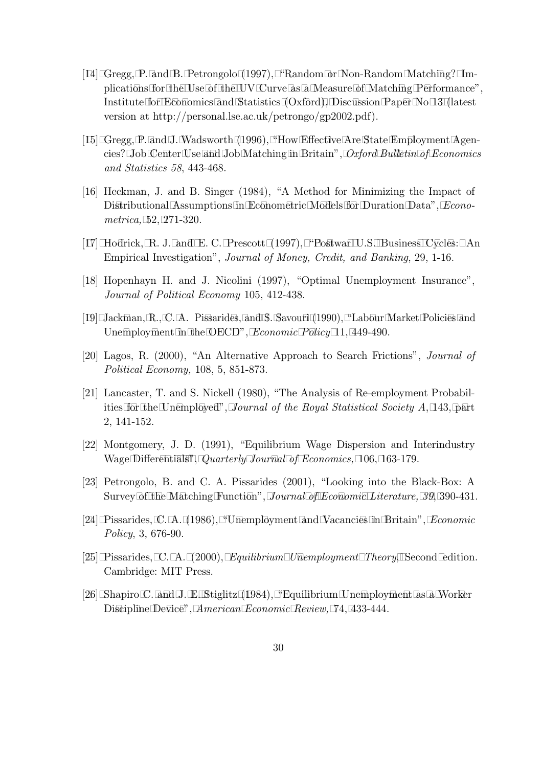- [14] Gregg, P. and B. Petrongolo (1997), "Random or Non-Random Matching? Implications for the Use of the UV Curve as a Measure of Matching Performance", Institute for Economics and Statistics (Oxford), Discussion Paper No 13 (latest version at http://personal.lse.ac.uk/petrongo/gp2002.pdf).
- [15] Gregg, P. and J. Wadsworth (1996), "How Effective Are State Employment Agencies? Job Center Use and Job Matching in Britain", Oxford Bulletin of Economics and Statistics 58, 443-468.
- [16] Heckman, J. and B. Singer (1984), "A Method for Minimizing the Impact of Distributional Assumptions in Econometric Models for Duration Data", *Econo*metrica, 52, 271-320.
- [17] Hodrick, R. J. and E. C. Prescott (1997), "Postwar U.S. Business Cycles: An Empirical Investigation", Journal of Money, Credit, and Banking, 29, 1-16.
- [18] Hopenhayn H. and J. Nicolini (1997), "Optimal Unemployment Insurance", Journal of Political Economy 105, 412-438.
- [19] Jackman, R., C. A. Pissarides, and S. Savouri (1990), "Labour Market Policies and Unemployment in the OECD", *Economic Policy* 11, 449-490.
- [20] Lagos, R. (2000), "An Alternative Approach to Search Frictions", Journal of Political Economy, 108, 5, 851-873.
- [21] Lancaster, T. and S. Nickell (1980), "The Analysis of Re-employment Probabilities for the Unemployed", *Journal of the Royal Statistical Society A*, 143, part 2, 141-152.
- [22] Montgomery, J. D. (1991), "Equilibrium Wage Dispersion and Interindustry Wage Differentials", Quarterly Journal of Economics, 106, 163-179.
- [23] Petrongolo, B. and C. A. Pissarides (2001), "Looking into the Black-Box: A Survey of the Matching Function", Journal of Economic Literature, 39, 390-431.
- [24] Pissarides, C. A. (1986), "Unemployment and Vacancies in Britain", *Economic* Policy, 3, 676-90.
- [25] Pissarides, C. A. (2000), *Equilibrium Unemployment Theory*, Second edition. Cambridge: MIT Press.
- [26] Shapiro C. and J. E. Stiglitz (1984), "Equilibrium Unemployment as a Worker Discipline Device", American Economic Review, 74, 433-444.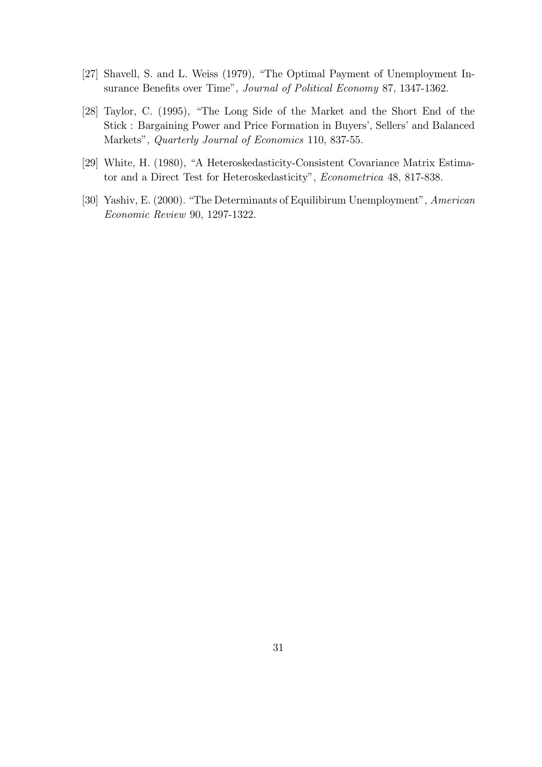- [27] Shavell, S. and L. Weiss (1979), "The Optimal Payment of Unemployment Insurance Benefits over Time", Journal of Political Economy 87, 1347-1362.
- [28] Taylor, C. (1995), "The Long Side of the Market and the Short End of the Stick : Bargaining Power and Price Formation in Buyers', Sellers' and Balanced Markets", Quarterly Journal of Economics 110, 837-55.
- [29] White, H. (1980), "A Heteroskedasticity-Consistent Covariance Matrix Estimator and a Direct Test for Heteroskedasticity", Econometrica 48, 817-838.
- [30] Yashiv, E. (2000). "The Determinants of Equilibirum Unemployment", American Economic Review 90, 1297-1322.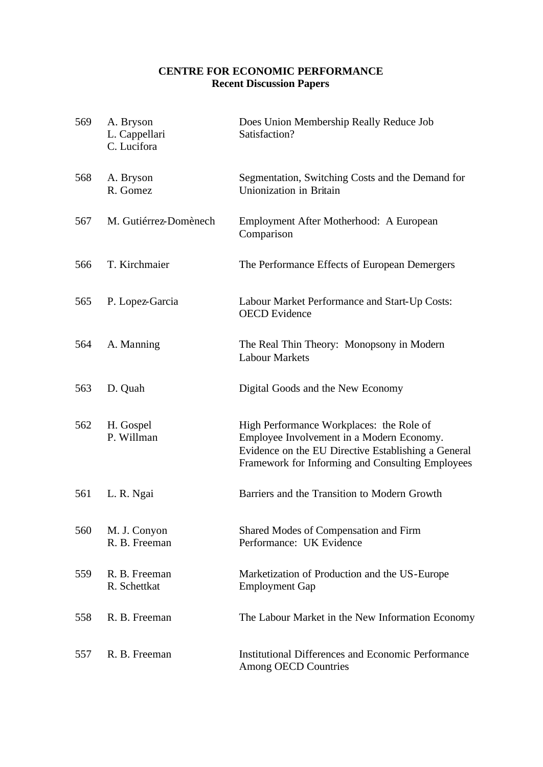### **CENTRE FOR ECONOMIC PERFORMANCE Recent Discussion Papers**

| 569 | A. Bryson<br>L. Cappellari<br>C. Lucifora | Does Union Membership Really Reduce Job<br>Satisfaction?                                                                                                                                         |
|-----|-------------------------------------------|--------------------------------------------------------------------------------------------------------------------------------------------------------------------------------------------------|
| 568 | A. Bryson<br>R. Gomez                     | Segmentation, Switching Costs and the Demand for<br>Unionization in Britain                                                                                                                      |
| 567 | M. Gutiérrez-Domènech                     | Employment After Motherhood: A European<br>Comparison                                                                                                                                            |
| 566 | T. Kirchmaier                             | The Performance Effects of European Demergers                                                                                                                                                    |
| 565 | P. Lopez-Garcia                           | Labour Market Performance and Start-Up Costs:<br><b>OECD</b> Evidence                                                                                                                            |
| 564 | A. Manning                                | The Real Thin Theory: Monopsony in Modern<br><b>Labour Markets</b>                                                                                                                               |
| 563 | D. Quah                                   | Digital Goods and the New Economy                                                                                                                                                                |
| 562 | H. Gospel<br>P. Willman                   | High Performance Workplaces: the Role of<br>Employee Involvement in a Modern Economy.<br>Evidence on the EU Directive Establishing a General<br>Framework for Informing and Consulting Employees |
| 561 | L. R. Ngai                                | Barriers and the Transition to Modern Growth                                                                                                                                                     |
| 560 | M. J. Conyon<br>R. B. Freeman             | Shared Modes of Compensation and Firm<br>Performance: UK Evidence                                                                                                                                |
| 559 | R. B. Freeman<br>R. Schettkat             | Marketization of Production and the US-Europe<br><b>Employment Gap</b>                                                                                                                           |
| 558 | R. B. Freeman                             | The Labour Market in the New Information Economy                                                                                                                                                 |
| 557 | R. B. Freeman                             | <b>Institutional Differences and Economic Performance</b><br><b>Among OECD Countries</b>                                                                                                         |